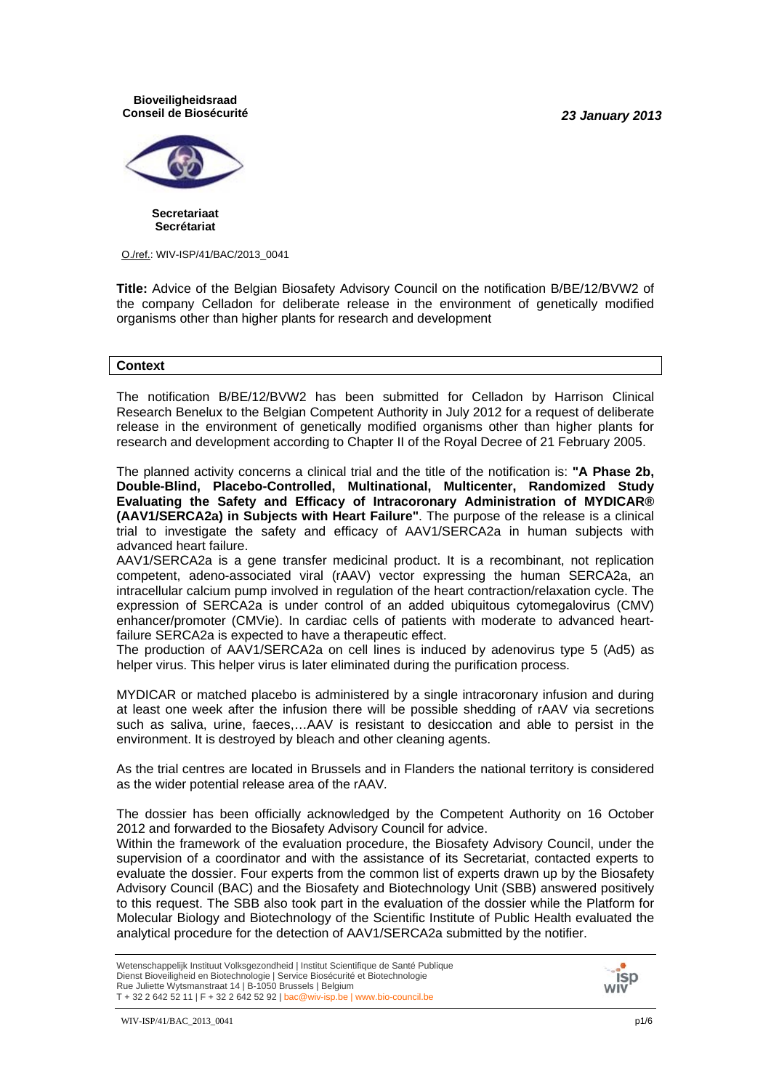*23 January 2013*

**Bioveiligheidsraad Conseil de Biosécurité**



**Secretariaat Secrétariat**

O./ref.: WIV-ISP/41/BAC/2013\_0041

**Title:** Advice of the Belgian Biosafety Advisory Council on the notification B/BE/12/BVW2 of the company Celladon for deliberate release in the environment of genetically modified organisms other than higher plants for research and development

#### **Context**

The notification B/BE/12/BVW2 has been submitted for Celladon by Harrison Clinical Research Benelux to the Belgian Competent Authority in July 2012 for a request of deliberate release in the environment of genetically modified organisms other than higher plants for research and development according to Chapter II of the Royal Decree of 21 February 2005.

The planned activity concerns a clinical trial and the title of the notification is: **"A Phase 2b, Double-Blind, Placebo-Controlled, Multinational, Multicenter, Randomized Study Evaluating the Safety and Efficacy of Intracoronary Administration of MYDICAR® (AAV1/SERCA2a) in Subjects with Heart Failure"**. The purpose of the release is a clinical trial to investigate the safety and efficacy of AAV1/SERCA2a in human subjects with advanced heart failure.

AAV1/SERCA2a is a gene transfer medicinal product. It is a recombinant, not replication competent, adeno-associated viral (rAAV) vector expressing the human SERCA2a, an intracellular calcium pump involved in regulation of the heart contraction/relaxation cycle. The expression of SERCA2a is under control of an added ubiquitous cytomegalovirus (CMV) enhancer/promoter (CMVie). In cardiac cells of patients with moderate to advanced heartfailure SERCA2a is expected to have a therapeutic effect.

The production of AAV1/SERCA2a on cell lines is induced by adenovirus type 5 (Ad5) as helper virus. This helper virus is later eliminated during the purification process.

MYDICAR or matched placebo is administered by a single intracoronary infusion and during at least one week after the infusion there will be possible shedding of rAAV via secretions such as saliva, urine, faeces,…AAV is resistant to desiccation and able to persist in the environment. It is destroyed by bleach and other cleaning agents.

As the trial centres are located in Brussels and in Flanders the national territory is considered as the wider potential release area of the rAAV*.*

The dossier has been officially acknowledged by the Competent Authority on 16 October 2012 and forwarded to the Biosafety Advisory Council for advice.

Within the framework of the evaluation procedure, the Biosafety Advisory Council, under the supervision of a coordinator and with the assistance of its Secretariat, contacted experts to evaluate the dossier. Four experts from the common list of experts drawn up by the Biosafety Advisory Council (BAC) and the Biosafety and Biotechnology Unit (SBB) answered positively to this request. The SBB also took part in the evaluation of the dossier while the Platform for Molecular Biology and Biotechnology of the Scientific Institute of Public Health evaluated the analytical procedure for the detection of AAV1/SERCA2a submitted by the notifier.

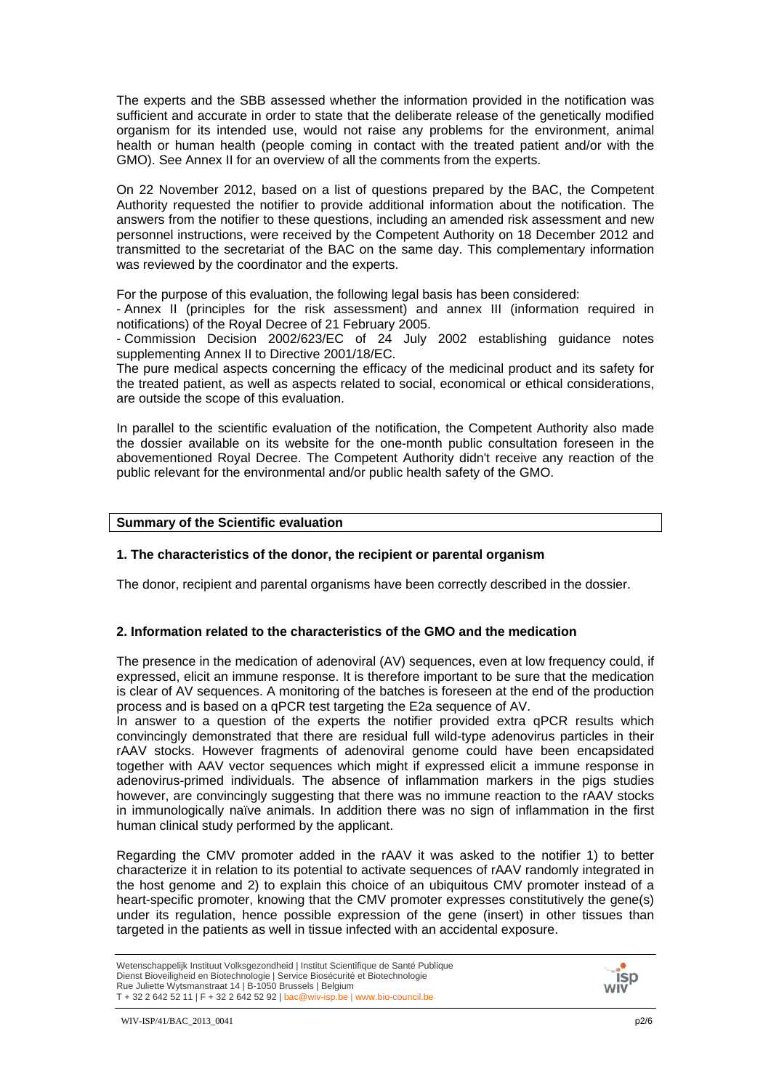The experts and the SBB assessed whether the information provided in the notification was sufficient and accurate in order to state that the deliberate release of the genetically modified organism for its intended use, would not raise any problems for the environment, animal health or human health (people coming in contact with the treated patient and/or with the GMO). See Annex II for an overview of all the comments from the experts.

On 22 November 2012, based on a list of questions prepared by the BAC, the Competent Authority requested the notifier to provide additional information about the notification. The answers from the notifier to these questions, including an amended risk assessment and new personnel instructions, were received by the Competent Authority on 18 December 2012 and transmitted to the secretariat of the BAC on the same day. This complementary information was reviewed by the coordinator and the experts.

For the purpose of this evaluation, the following legal basis has been considered:

- Annex II (principles for the risk assessment) and annex III (information required in notifications) of the Royal Decree of 21 February 2005.

- Commission Decision 2002/623/EC of 24 July 2002 establishing guidance notes supplementing Annex II to Directive 2001/18/EC.

The pure medical aspects concerning the efficacy of the medicinal product and its safety for the treated patient, as well as aspects related to social, economical or ethical considerations, are outside the scope of this evaluation.

In parallel to the scientific evaluation of the notification, the Competent Authority also made the dossier available on its website for the one-month public consultation foreseen in the abovementioned Royal Decree. The Competent Authority didn't receive any reaction of the public relevant for the environmental and/or public health safety of the GMO.

## **Summary of the Scientific evaluation**

## **1. The characteristics of the donor, the recipient or parental organism**

The donor, recipient and parental organisms have been correctly described in the dossier.

## **2. Information related to the characteristics of the GMO and the medication**

The presence in the medication of adenoviral (AV) sequences, even at low frequency could, if expressed, elicit an immune response. It is therefore important to be sure that the medication is clear of AV sequences. A monitoring of the batches is foreseen at the end of the production process and is based on a qPCR test targeting the E2a sequence of AV.

In answer to a question of the experts the notifier provided extra qPCR results which convincingly demonstrated that there are residual full wild-type adenovirus particles in their rAAV stocks. However fragments of adenoviral genome could have been encapsidated together with AAV vector sequences which might if expressed elicit a immune response in adenovirus-primed individuals. The absence of inflammation markers in the pigs studies however, are convincingly suggesting that there was no immune reaction to the rAAV stocks in immunologically naïve animals. In addition there was no sign of inflammation in the first human clinical study performed by the applicant.

Regarding the CMV promoter added in the rAAV it was asked to the notifier 1) to better characterize it in relation to its potential to activate sequences of rAAV randomly integrated in the host genome and 2) to explain this choice of an ubiquitous CMV promoter instead of a heart-specific promoter, knowing that the CMV promoter expresses constitutively the gene(s) under its regulation, hence possible expression of the gene (insert) in other tissues than targeted in the patients as well in tissue infected with an accidental exposure.

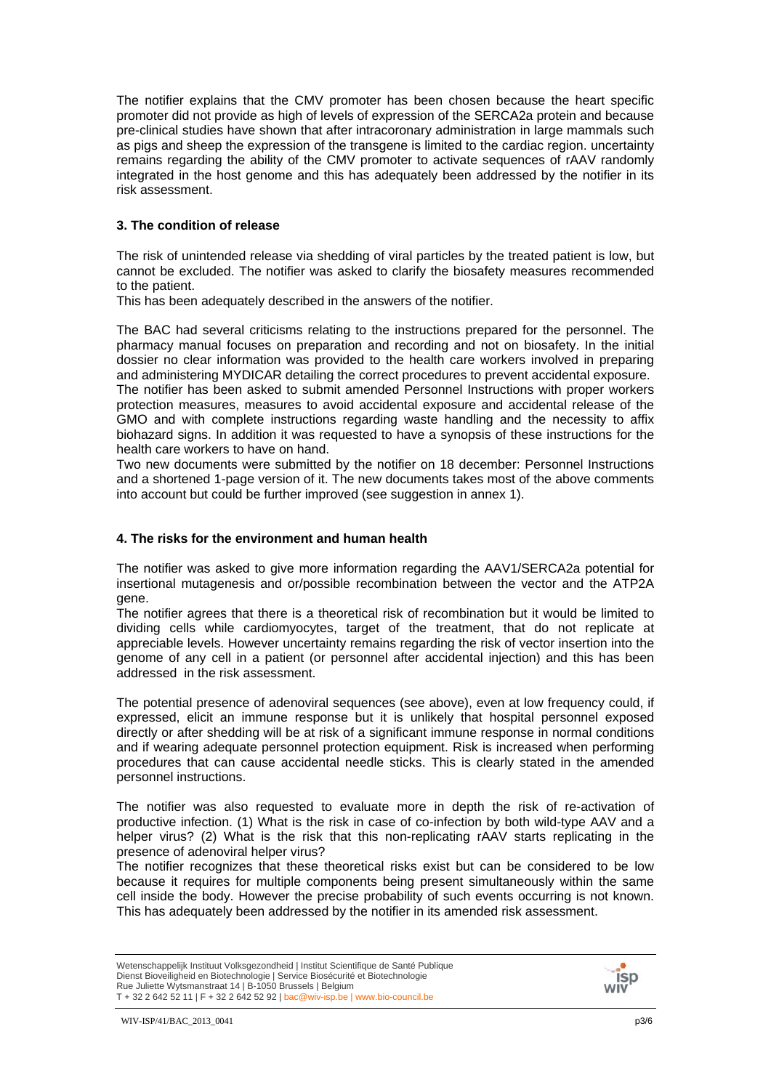The notifier explains that the CMV promoter has been chosen because the heart specific promoter did not provide as high of levels of expression of the SERCA2a protein and because pre-clinical studies have shown that after intracoronary administration in large mammals such as pigs and sheep the expression of the transgene is limited to the cardiac region. uncertainty remains regarding the ability of the CMV promoter to activate sequences of rAAV randomly integrated in the host genome and this has adequately been addressed by the notifier in its risk assessment.

## **3. The condition of release**

The risk of unintended release via shedding of viral particles by the treated patient is low, but cannot be excluded. The notifier was asked to clarify the biosafety measures recommended to the patient.

This has been adequately described in the answers of the notifier.

The BAC had several criticisms relating to the instructions prepared for the personnel. The pharmacy manual focuses on preparation and recording and not on biosafety. In the initial dossier no clear information was provided to the health care workers involved in preparing and administering MYDICAR detailing the correct procedures to prevent accidental exposure. The notifier has been asked to submit amended Personnel Instructions with proper workers protection measures, measures to avoid accidental exposure and accidental release of the GMO and with complete instructions regarding waste handling and the necessity to affix biohazard signs. In addition it was requested to have a synopsis of these instructions for the health care workers to have on hand.

Two new documents were submitted by the notifier on 18 december: Personnel Instructions and a shortened 1-page version of it. The new documents takes most of the above comments into account but could be further improved (see suggestion in annex 1).

## **4. The risks for the environment and human health**

The notifier was asked to give more information regarding the AAV1/SERCA2a potential for insertional mutagenesis and or/possible recombination between the vector and the ATP2A gene.

The notifier agrees that there is a theoretical risk of recombination but it would be limited to dividing cells while cardiomyocytes, target of the treatment, that do not replicate at appreciable levels. However uncertainty remains regarding the risk of vector insertion into the genome of any cell in a patient (or personnel after accidental injection) and this has been addressed in the risk assessment.

The potential presence of adenoviral sequences (see above), even at low frequency could, if expressed, elicit an immune response but it is unlikely that hospital personnel exposed directly or after shedding will be at risk of a significant immune response in normal conditions and if wearing adequate personnel protection equipment. Risk is increased when performing procedures that can cause accidental needle sticks. This is clearly stated in the amended personnel instructions.

The notifier was also requested to evaluate more in depth the risk of re-activation of productive infection. (1) What is the risk in case of co-infection by both wild-type AAV and a helper virus? (2) What is the risk that this non-replicating rAAV starts replicating in the presence of adenoviral helper virus?

The notifier recognizes that these theoretical risks exist but can be considered to be low because it requires for multiple components being present simultaneously within the same cell inside the body. However the precise probability of such events occurring is not known. This has adequately been addressed by the notifier in its amended risk assessment.

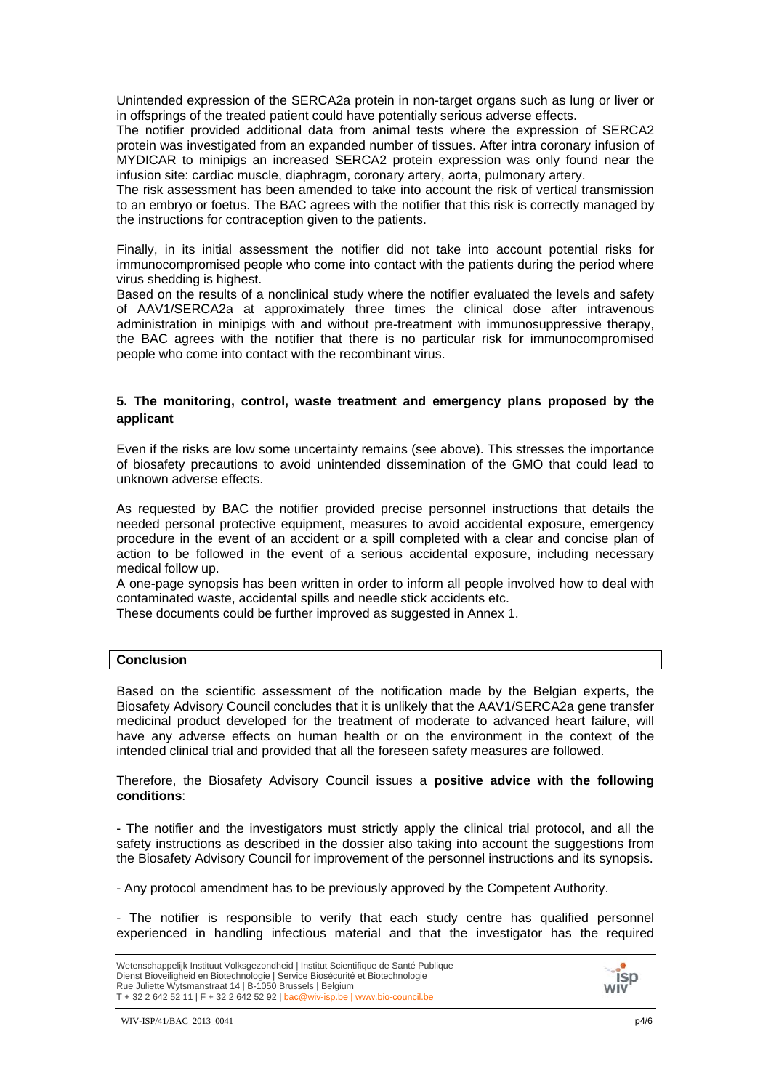Unintended expression of the SERCA2a protein in non-target organs such as lung or liver or in offsprings of the treated patient could have potentially serious adverse effects.

The notifier provided additional data from animal tests where the expression of SERCA2 protein was investigated from an expanded number of tissues. After intra coronary infusion of MYDICAR to minipigs an increased SERCA2 protein expression was only found near the infusion site: cardiac muscle, diaphragm, coronary artery, aorta, pulmonary artery.

The risk assessment has been amended to take into account the risk of vertical transmission to an embryo or foetus. The BAC agrees with the notifier that this risk is correctly managed by the instructions for contraception given to the patients.

Finally, in its initial assessment the notifier did not take into account potential risks for immunocompromised people who come into contact with the patients during the period where virus shedding is highest.

Based on the results of a nonclinical study where the notifier evaluated the levels and safety of AAV1/SERCA2a at approximately three times the clinical dose after intravenous administration in minipigs with and without pre-treatment with immunosuppressive therapy, the BAC agrees with the notifier that there is no particular risk for immunocompromised people who come into contact with the recombinant virus.

## **5. The monitoring, control, waste treatment and emergency plans proposed by the applicant**

Even if the risks are low some uncertainty remains (see above). This stresses the importance of biosafety precautions to avoid unintended dissemination of the GMO that could lead to unknown adverse effects.

As requested by BAC the notifier provided precise personnel instructions that details the needed personal protective equipment, measures to avoid accidental exposure, emergency procedure in the event of an accident or a spill completed with a clear and concise plan of action to be followed in the event of a serious accidental exposure, including necessary medical follow up.

A one-page synopsis has been written in order to inform all people involved how to deal with contaminated waste, accidental spills and needle stick accidents etc.

These documents could be further improved as suggested in Annex 1.

#### **Conclusion**

Based on the scientific assessment of the notification made by the Belgian experts, the Biosafety Advisory Council concludes that it is unlikely that the AAV1/SERCA2a gene transfer medicinal product developed for the treatment of moderate to advanced heart failure, will have any adverse effects on human health or on the environment in the context of the intended clinical trial and provided that all the foreseen safety measures are followed.

Therefore, the Biosafety Advisory Council issues a **positive advice with the following conditions**:

- The notifier and the investigators must strictly apply the clinical trial protocol, and all the safety instructions as described in the dossier also taking into account the suggestions from the Biosafety Advisory Council for improvement of the personnel instructions and its synopsis.

- Any protocol amendment has to be previously approved by the Competent Authority.

- The notifier is responsible to verify that each study centre has qualified personnel experienced in handling infectious material and that the investigator has the required

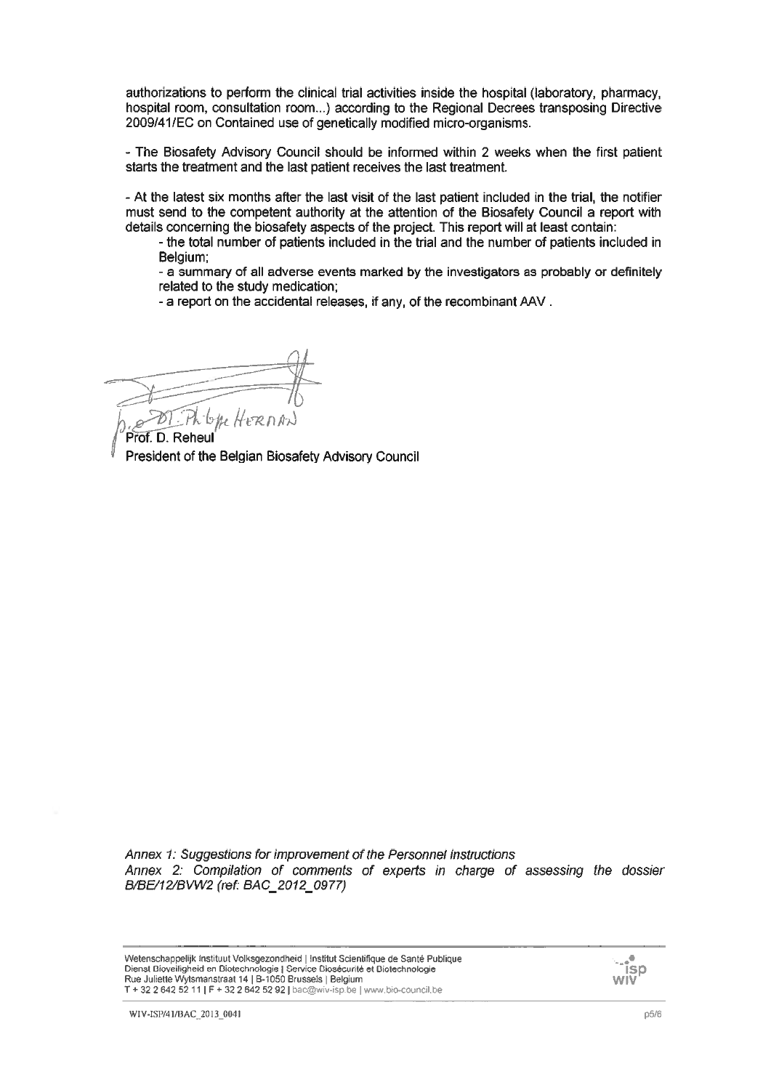authorizations to perform the clinical trial activities inside the hospital (laboratory, pharmacy, hospital room, consultation room...) according to the Regional Decrees transposing Directive 2009/41/EC on Contained use of genetically modified micro-organisms.

- The Biosafety Advisory Council should be informed within 2 weeks when the first patient starts the treatment and the last patient receives the last treatment.

- At the latest six months after the last visit of the last patient included in the trial, the notifier must send to the competent authority at the attention of the Biosafety Council a report with details concerning the biosafety aspects of the project. This report will at least contain:

- the total number of patients included in the trial and the number of patients included in Belaium:

- a summary of all adverse events marked by the investigators as probably or definitely related to the study medication:

- a report on the accidental releases, if any, of the recombinant AAV.

b*he* Hern

Prof. D. Reheul President of the Belgian Biosafety Advisory Council

Annex 1: Suggestions for improvement of the Personnel instructions Annex 2: Compilation of comments of experts in charge of assessing the dossier B/BE/12/BVW2 (ref: BAC 2012 0977)

isp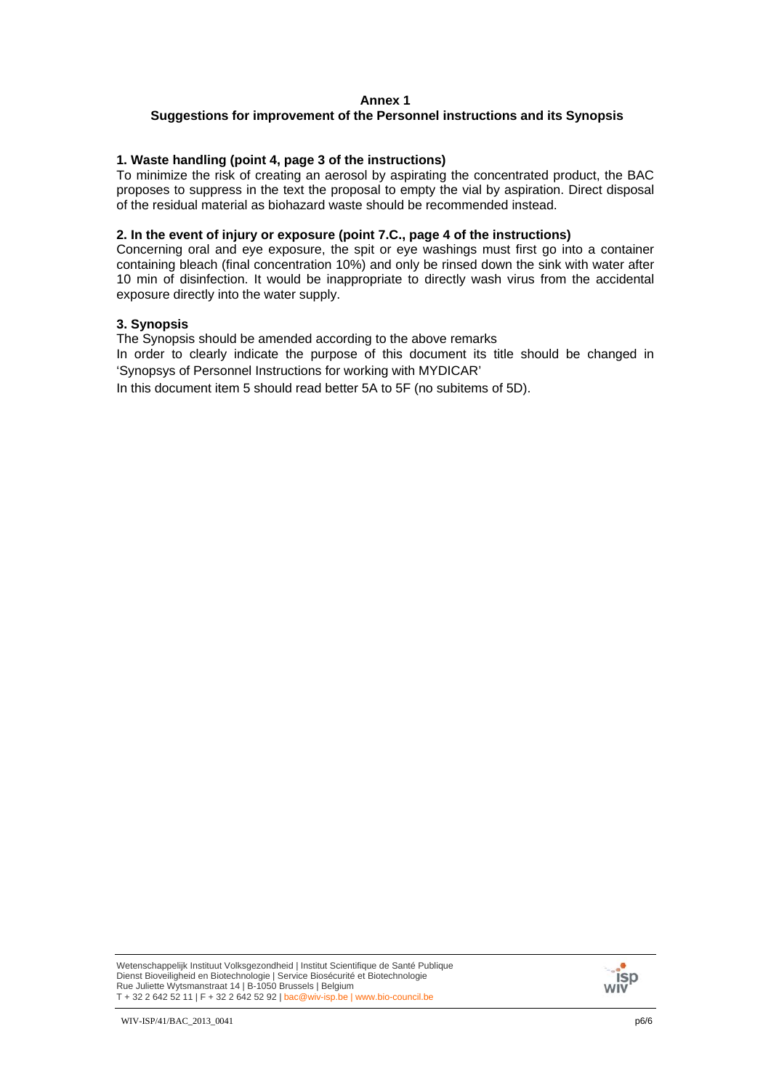#### **Annex 1**

# **Suggestions for improvement of the Personnel instructions and its Synopsis**

#### **1. Waste handling (point 4, page 3 of the instructions)**

To minimize the risk of creating an aerosol by aspirating the concentrated product, the BAC proposes to suppress in the text the proposal to empty the vial by aspiration. Direct disposal of the residual material as biohazard waste should be recommended instead.

#### **2. In the event of injury or exposure (point 7.C., page 4 of the instructions)**

Concerning oral and eye exposure, the spit or eye washings must first go into a container containing bleach (final concentration 10%) and only be rinsed down the sink with water after 10 min of disinfection. It would be inappropriate to directly wash virus from the accidental exposure directly into the water supply.

#### **3. Synopsis**

The Synopsis should be amended according to the above remarks

In order to clearly indicate the purpose of this document its title should be changed in 'Synopsys of Personnel Instructions for working with MYDICAR'

In this document item 5 should read better 5A to 5F (no subitems of 5D).

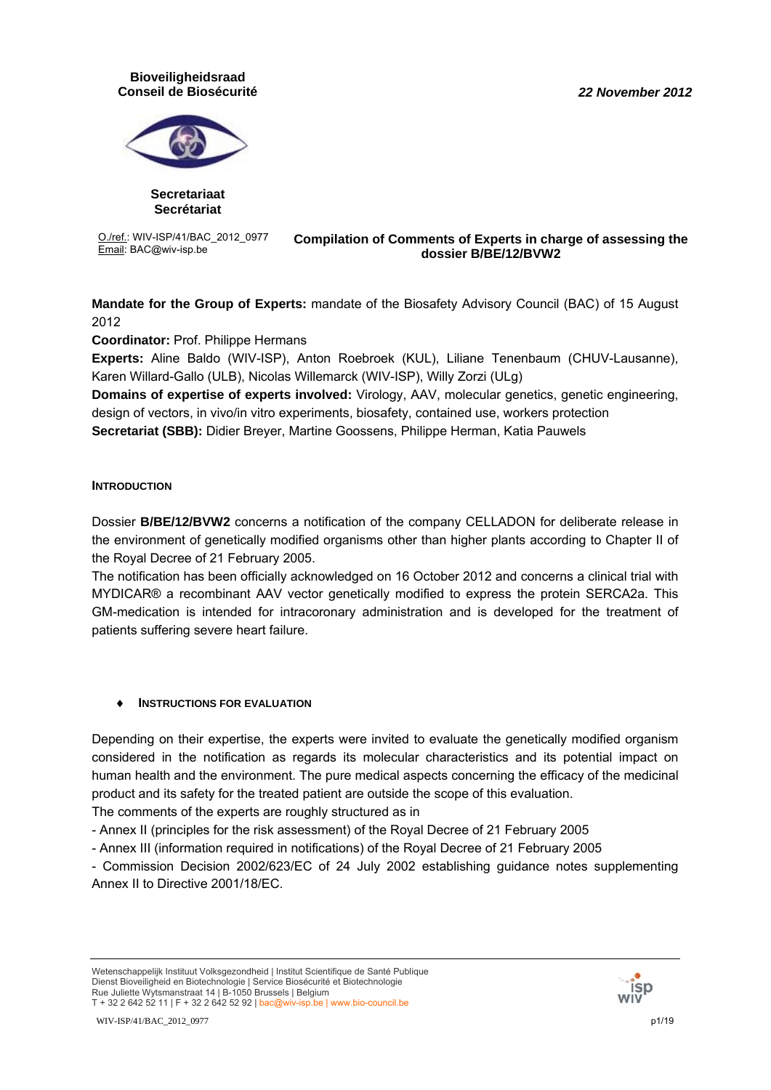#### *22 November 2012*

## **Bioveiligheidsraad Conseil de Biosécurité**



**Secretariaat Secrétariat**

O./ref.: WIV-ISP/41/BAC\_2012\_0977

#### **O./ref.: WIV-ISP/41/BAC\_2012\_0977 Compilation of Comments of Experts in charge of assessing the <br>Email: BAC@wiv-isp.be dessing the dessing the dessing the dessing the dessing the dessing the dessing the dessing the dessin dossier B/BE/12/BVW2**

**Mandate for the Group of Experts:** mandate of the Biosafety Advisory Council (BAC) of 15 August 2012

**Coordinator:** Prof. Philippe Hermans

**Experts:** Aline Baldo (WIV-ISP), Anton Roebroek (KUL), Liliane Tenenbaum (CHUV-Lausanne), Karen Willard-Gallo (ULB), Nicolas Willemarck (WIV-ISP), Willy Zorzi (ULg)

**Domains of expertise of experts involved:** Virology, AAV, molecular genetics, genetic engineering, design of vectors, in vivo/in vitro experiments, biosafety, contained use, workers protection **Secretariat (SBB):** Didier Breyer, Martine Goossens, Philippe Herman, Katia Pauwels

## **INTRODUCTION**

Dossier **B/BE/12/BVW2** concerns a notification of the company CELLADON for deliberate release in the environment of genetically modified organisms other than higher plants according to Chapter II of the Royal Decree of 21 February 2005.

The notification has been officially acknowledged on 16 October 2012 and concerns a clinical trial with MYDICAR® a recombinant AAV vector genetically modified to express the protein SERCA2a. This GM-medication is intended for intracoronary administration and is developed for the treatment of patients suffering severe heart failure.

# ♦ **INSTRUCTIONS FOR EVALUATION**

Depending on their expertise, the experts were invited to evaluate the genetically modified organism considered in the notification as regards its molecular characteristics and its potential impact on human health and the environment. The pure medical aspects concerning the efficacy of the medicinal product and its safety for the treated patient are outside the scope of this evaluation.

The comments of the experts are roughly structured as in

- Annex II (principles for the risk assessment) of the Royal Decree of 21 February 2005

- Annex III (information required in notifications) of the Royal Decree of 21 February 2005

- Commission Decision 2002/623/EC of 24 July 2002 establishing guidance notes supplementing Annex II to Directive 2001/18/EC.



Wetenschappelijk Instituut Volksgezondheid | Institut Scientifique de Santé Publique Dienst Bioveiligheid en Biotechnologie | Service Biosécurité et Biotechnologie Rue Juliette Wytsmanstraat 14 | B-1050 Brussels | Belgium T + 32 2 642 52 11 | F + 32 2 642 52 92 | bac@wiv-isp.be | www.bio-council.be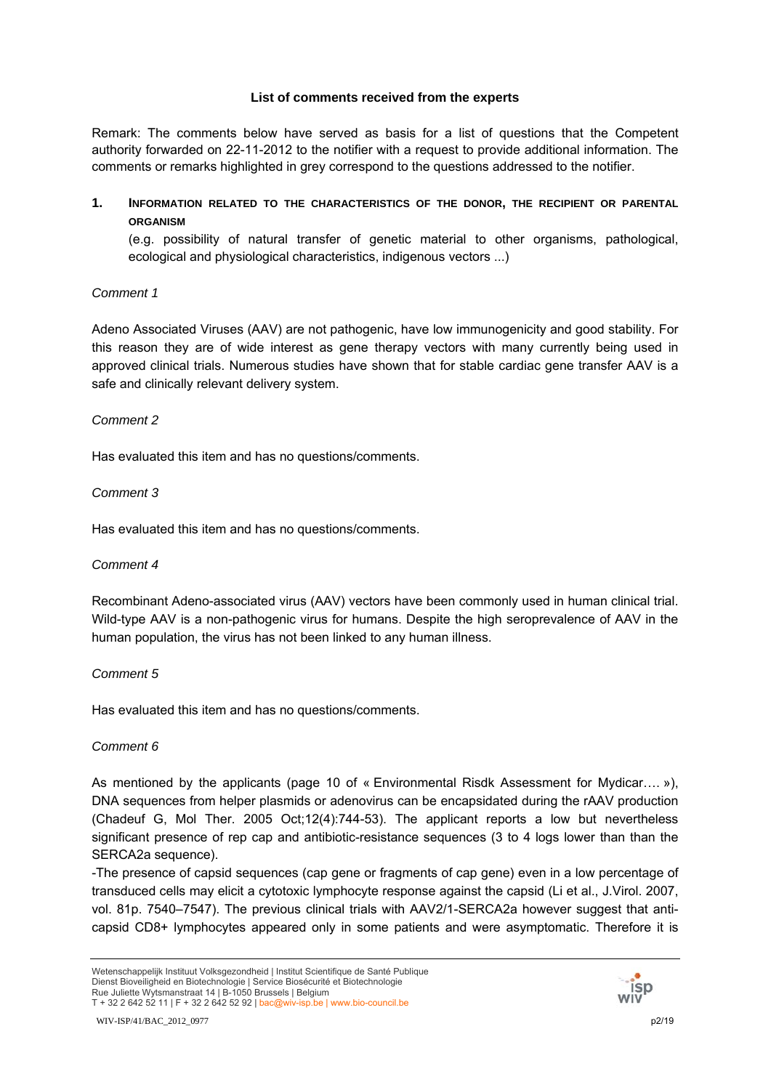## **List of comments received from the experts**

Remark: The comments below have served as basis for a list of questions that the Competent authority forwarded on 22-11-2012 to the notifier with a request to provide additional information. The comments or remarks highlighted in grey correspond to the questions addressed to the notifier.

**1. INFORMATION RELATED TO THE CHARACTERISTICS OF THE DONOR, THE RECIPIENT OR PARENTAL ORGANISM**

(e.g. possibility of natural transfer of genetic material to other organisms, pathological, ecological and physiological characteristics, indigenous vectors ...)

# *Comment 1*

Adeno Associated Viruses (AAV) are not pathogenic, have low immunogenicity and good stability. For this reason they are of wide interest as gene therapy vectors with many currently being used in approved clinical trials. Numerous studies have shown that for stable cardiac gene transfer AAV is a safe and clinically relevant delivery system.

## *Comment 2*

Has evaluated this item and has no questions/comments.

## *Comment 3*

Has evaluated this item and has no questions/comments.

## *Comment 4*

Recombinant Adeno-associated virus (AAV) vectors have been commonly used in human clinical trial. Wild-type AAV is a non-pathogenic virus for humans. Despite the high seroprevalence of AAV in the human population, the virus has not been linked to any human illness.

# *Comment 5*

Has evaluated this item and has no questions/comments.

# *Comment 6*

As mentioned by the applicants (page 10 of « Environmental Risdk Assessment for Mydicar.... »), DNA sequences from helper plasmids or adenovirus can be encapsidated during the rAAV production (Chadeuf G, Mol Ther. 2005 Oct;12(4):744-53). The applicant reports a low but nevertheless significant presence of rep cap and antibiotic-resistance sequences (3 to 4 logs lower than than the SERCA2a sequence).

-The presence of capsid sequences (cap gene or fragments of cap gene) even in a low percentage of transduced cells may elicit a cytotoxic lymphocyte response against the capsid (Li et al., J.Virol. 2007, vol. 81p. 7540–7547). The previous clinical trials with AAV2/1-SERCA2a however suggest that anticapsid CD8+ lymphocytes appeared only in some patients and were asymptomatic. Therefore it is

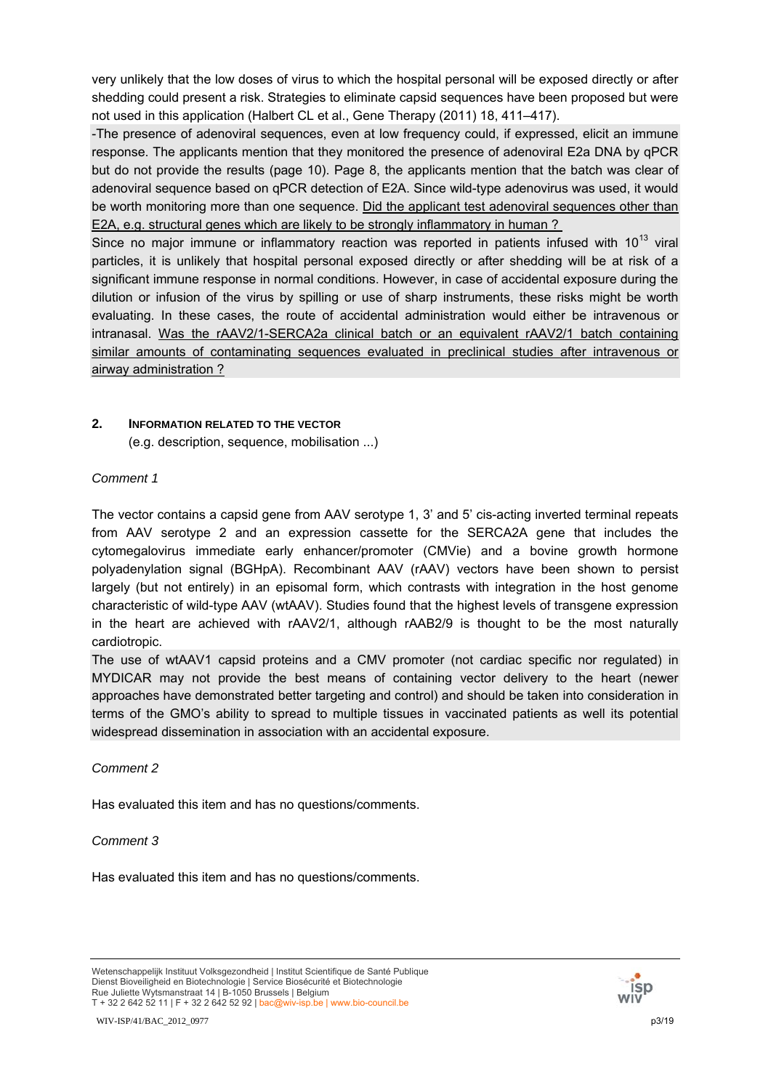very unlikely that the low doses of virus to which the hospital personal will be exposed directly or after shedding could present a risk. Strategies to eliminate capsid sequences have been proposed but were not used in this application (Halbert CL et al., Gene Therapy (2011) 18, 411–417).

-The presence of adenoviral sequences, even at low frequency could, if expressed, elicit an immune response. The applicants mention that they monitored the presence of adenoviral E2a DNA by qPCR but do not provide the results (page 10). Page 8, the applicants mention that the batch was clear of adenoviral sequence based on qPCR detection of E2A. Since wild-type adenovirus was used, it would be worth monitoring more than one sequence. Did the applicant test adenoviral sequences other than E2A, e.g. structural genes which are likely to be strongly inflammatory in human ?

Since no major immune or inflammatory reaction was reported in patients infused with  $10^{13}$  viral particles, it is unlikely that hospital personal exposed directly or after shedding will be at risk of a significant immune response in normal conditions. However, in case of accidental exposure during the dilution or infusion of the virus by spilling or use of sharp instruments, these risks might be worth evaluating. In these cases, the route of accidental administration would either be intravenous or intranasal. Was the rAAV2/1-SERCA2a clinical batch or an equivalent rAAV2/1 batch containing similar amounts of contaminating sequences evaluated in preclinical studies after intravenous or airway administration ?

## **2. INFORMATION RELATED TO THE VECTOR**

(e.g. description, sequence, mobilisation ...)

## *Comment 1*

The vector contains a capsid gene from AAV serotype 1, 3' and 5' cis-acting inverted terminal repeats from AAV serotype 2 and an expression cassette for the SERCA2A gene that includes the cytomegalovirus immediate early enhancer/promoter (CMVie) and a bovine growth hormone polyadenylation signal (BGHpA). Recombinant AAV (rAAV) vectors have been shown to persist largely (but not entirely) in an episomal form, which contrasts with integration in the host genome characteristic of wild-type AAV (wtAAV). Studies found that the highest levels of transgene expression in the heart are achieved with rAAV2/1, although rAAB2/9 is thought to be the most naturally cardiotropic.

The use of wtAAV1 capsid proteins and a CMV promoter (not cardiac specific nor regulated) in MYDICAR may not provide the best means of containing vector delivery to the heart (newer approaches have demonstrated better targeting and control) and should be taken into consideration in terms of the GMO's ability to spread to multiple tissues in vaccinated patients as well its potential widespread dissemination in association with an accidental exposure.

## *Comment 2*

Has evaluated this item and has no questions/comments.

## *Comment 3*

Has evaluated this item and has no questions/comments.

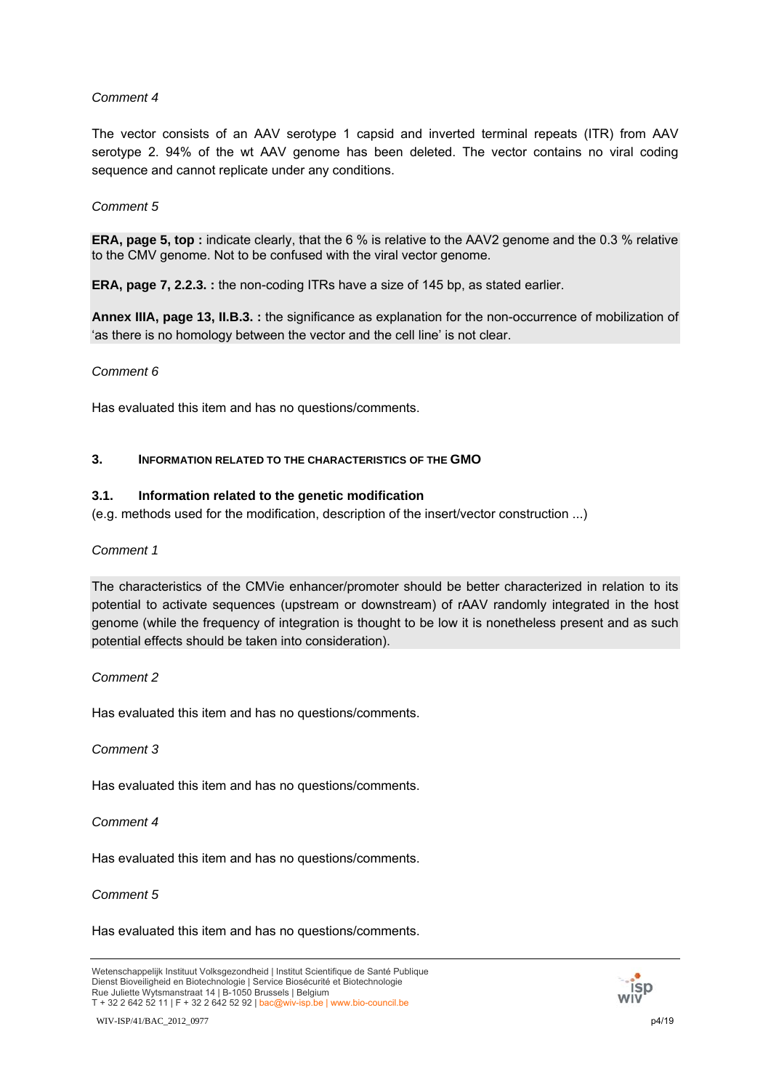The vector consists of an AAV serotype 1 capsid and inverted terminal repeats (ITR) from AAV serotype 2. 94% of the wt AAV genome has been deleted. The vector contains no viral coding sequence and cannot replicate under any conditions.

## *Comment 5*

**ERA, page 5, top :** indicate clearly, that the 6 % is relative to the AAV2 genome and the 0.3 % relative to the CMV genome. Not to be confused with the viral vector genome.

**ERA, page 7, 2.2.3. :** the non-coding ITRs have a size of 145 bp, as stated earlier.

**Annex IIIA, page 13, II.B.3. :** the significance as explanation for the non-occurrence of mobilization of 'as there is no homology between the vector and the cell line' is not clear.

## *Comment 6*

Has evaluated this item and has no questions/comments.

## **3. INFORMATION RELATED TO THE CHARACTERISTICS OF THE GMO**

## **3.1. Information related to the genetic modification**

(e.g. methods used for the modification, description of the insert/vector construction ...)

#### *Comment 1*

The characteristics of the CMVie enhancer/promoter should be better characterized in relation to its potential to activate sequences (upstream or downstream) of rAAV randomly integrated in the host genome (while the frequency of integration is thought to be low it is nonetheless present and as such potential effects should be taken into consideration).

#### *Comment 2*

Has evaluated this item and has no questions/comments.

#### *Comment 3*

Has evaluated this item and has no questions/comments.

#### *Comment 4*

Has evaluated this item and has no questions/comments.

## *Comment 5*

Has evaluated this item and has no questions/comments.

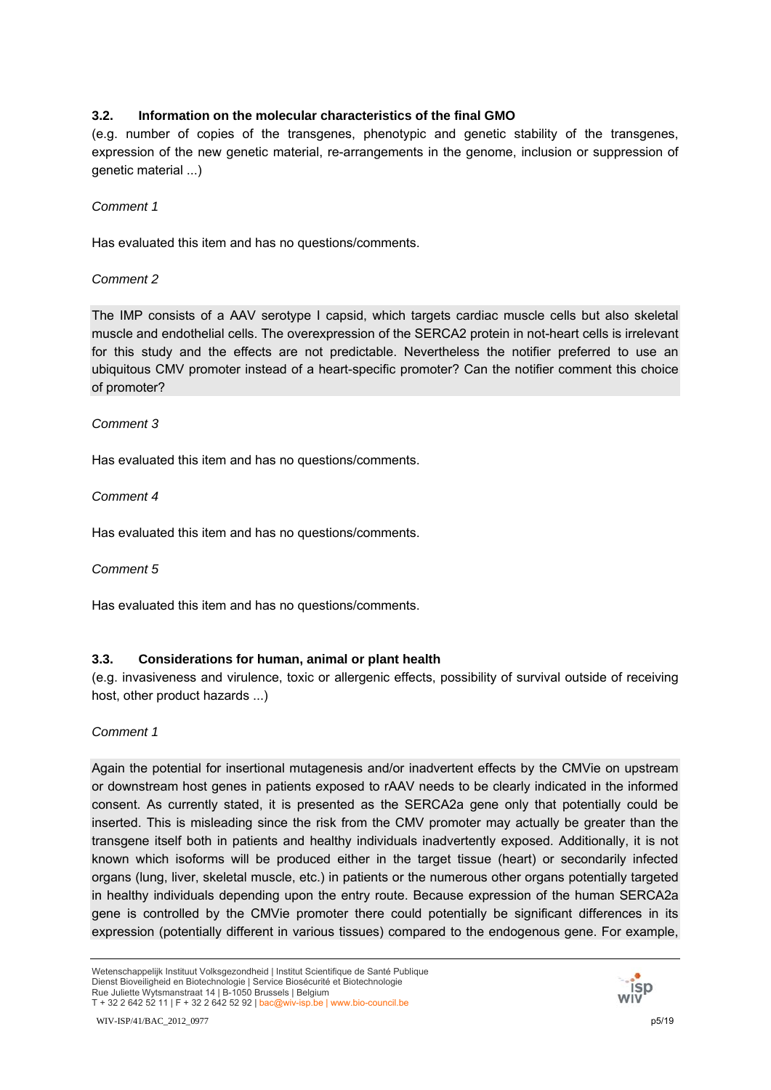# **3.2. Information on the molecular characteristics of the final GMO**

(e.g. number of copies of the transgenes, phenotypic and genetic stability of the transgenes, expression of the new genetic material, re-arrangements in the genome, inclusion or suppression of genetic material ...)

## *Comment 1*

Has evaluated this item and has no questions/comments.

## *Comment 2*

The IMP consists of a AAV serotype I capsid, which targets cardiac muscle cells but also skeletal muscle and endothelial cells. The overexpression of the SERCA2 protein in not-heart cells is irrelevant for this study and the effects are not predictable. Nevertheless the notifier preferred to use an ubiquitous CMV promoter instead of a heart-specific promoter? Can the notifier comment this choice of promoter?

## *Comment 3*

Has evaluated this item and has no questions/comments.

## *Comment 4*

Has evaluated this item and has no questions/comments.

## *Comment 5*

Has evaluated this item and has no questions/comments.

# **3.3. Considerations for human, animal or plant health**

(e.g. invasiveness and virulence, toxic or allergenic effects, possibility of survival outside of receiving host, other product hazards ...)

## *Comment 1*

Again the potential for insertional mutagenesis and/or inadvertent effects by the CMVie on upstream or downstream host genes in patients exposed to rAAV needs to be clearly indicated in the informed consent. As currently stated, it is presented as the SERCA2a gene only that potentially could be inserted. This is misleading since the risk from the CMV promoter may actually be greater than the transgene itself both in patients and healthy individuals inadvertently exposed. Additionally, it is not known which isoforms will be produced either in the target tissue (heart) or secondarily infected organs (lung, liver, skeletal muscle, etc.) in patients or the numerous other organs potentially targeted in healthy individuals depending upon the entry route. Because expression of the human SERCA2a gene is controlled by the CMVie promoter there could potentially be significant differences in its expression (potentially different in various tissues) compared to the endogenous gene. For example,

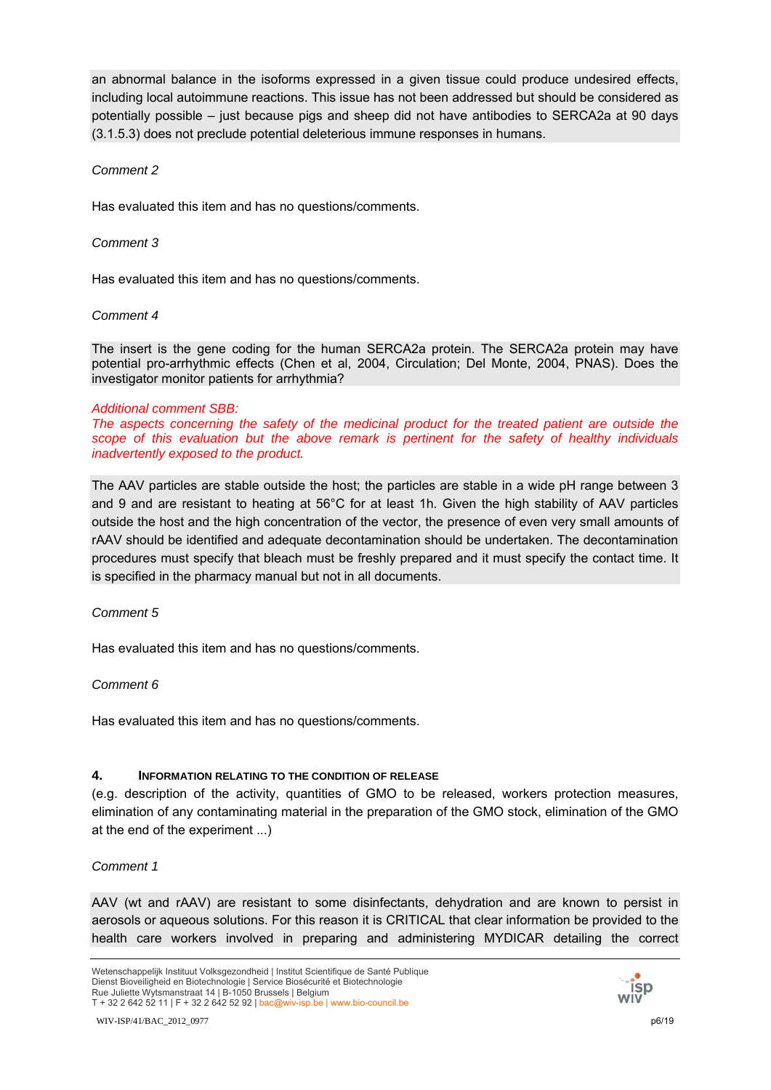an abnormal balance in the isoforms expressed in a given tissue could produce undesired effects, including local autoimmune reactions. This issue has not been addressed but should be considered as potentially possible – just because pigs and sheep did not have antibodies to SERCA2a at 90 days (3.1.5.3) does not preclude potential deleterious immune responses in humans.

## *Comment 2*

Has evaluated this item and has no questions/comments.

## *Comment 3*

Has evaluated this item and has no questions/comments.

## *Comment 4*

The insert is the gene coding for the human SERCA2a protein. The SERCA2a protein may have potential pro-arrhythmic effects (Chen et al, 2004, Circulation; Del Monte, 2004, PNAS). Does the investigator monitor patients for arrhythmia?

## *Additional comment SBB:*

*The aspects concerning the safety of the medicinal product for the treated patient are outside the scope of this evaluation but the above remark is pertinent for the safety of healthy individuals inadvertently exposed to the product.* 

The AAV particles are stable outside the host; the particles are stable in a wide pH range between 3 and 9 and are resistant to heating at 56°C for at least 1h. Given the high stability of AAV particles outside the host and the high concentration of the vector, the presence of even very small amounts of rAAV should be identified and adequate decontamination should be undertaken. The decontamination procedures must specify that bleach must be freshly prepared and it must specify the contact time. It is specified in the pharmacy manual but not in all documents.

## *Comment 5*

Has evaluated this item and has no questions/comments.

## *Comment 6*

Has evaluated this item and has no questions/comments.

## **4. INFORMATION RELATING TO THE CONDITION OF RELEASE**

(e.g. description of the activity, quantities of GMO to be released, workers protection measures, elimination of any contaminating material in the preparation of the GMO stock, elimination of the GMO at the end of the experiment ...)

## *Comment 1*

AAV (wt and rAAV) are resistant to some disinfectants, dehydration and are known to persist in aerosols or aqueous solutions. For this reason it is CRITICAL that clear information be provided to the health care workers involved in preparing and administering MYDICAR detailing the correct

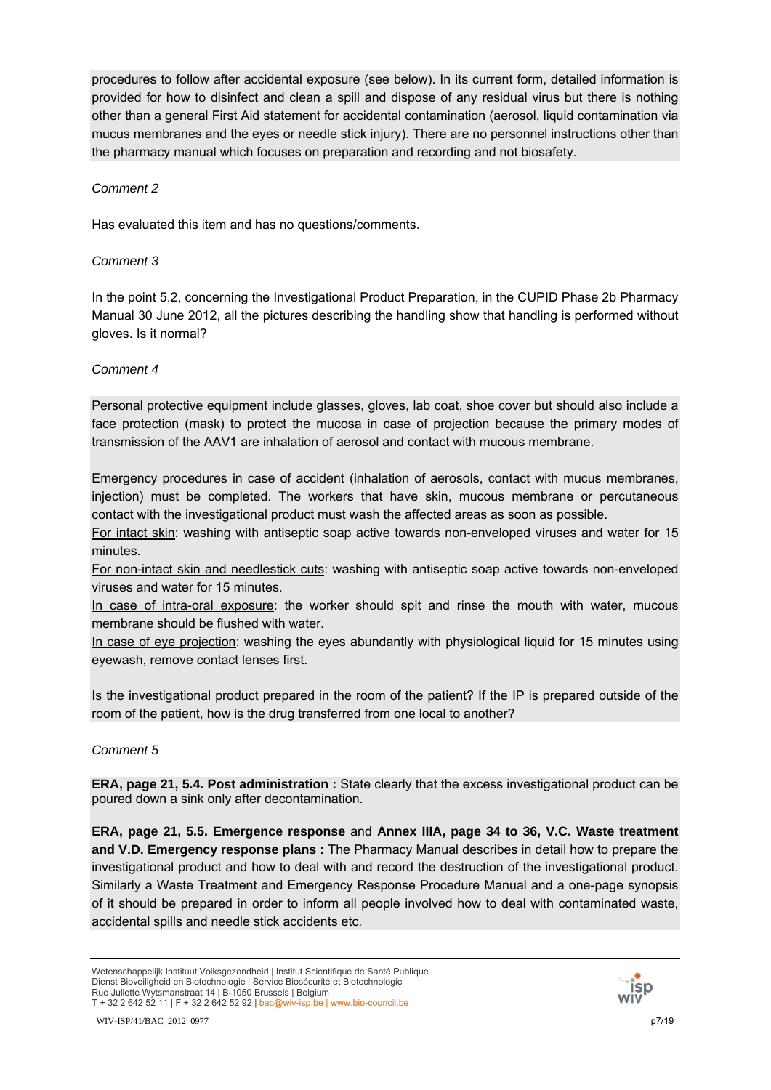procedures to follow after accidental exposure (see below). In its current form, detailed information is provided for how to disinfect and clean a spill and dispose of any residual virus but there is nothing other than a general First Aid statement for accidental contamination (aerosol, liquid contamination via mucus membranes and the eyes or needle stick injury). There are no personnel instructions other than the pharmacy manual which focuses on preparation and recording and not biosafety.

## *Comment 2*

Has evaluated this item and has no questions/comments.

## *Comment 3*

In the point 5.2, concerning the Investigational Product Preparation, in the CUPID Phase 2b Pharmacy Manual 30 June 2012, all the pictures describing the handling show that handling is performed without gloves. Is it normal?

## *Comment 4*

Personal protective equipment include glasses, gloves, lab coat, shoe cover but should also include a face protection (mask) to protect the mucosa in case of projection because the primary modes of transmission of the AAV1 are inhalation of aerosol and contact with mucous membrane.

Emergency procedures in case of accident (inhalation of aerosols, contact with mucus membranes, injection) must be completed. The workers that have skin, mucous membrane or percutaneous contact with the investigational product must wash the affected areas as soon as possible.

For intact skin: washing with antiseptic soap active towards non-enveloped viruses and water for 15 minutes.

For non-intact skin and needlestick cuts: washing with antiseptic soap active towards non-enveloped viruses and water for 15 minutes.

In case of intra-oral exposure: the worker should spit and rinse the mouth with water, mucous membrane should be flushed with water.

In case of eye projection: washing the eyes abundantly with physiological liquid for 15 minutes using eyewash, remove contact lenses first.

Is the investigational product prepared in the room of the patient? If the IP is prepared outside of the room of the patient, how is the drug transferred from one local to another?

## *Comment 5*

**ERA, page 21, 5.4. Post administration :** State clearly that the excess investigational product can be poured down a sink only after decontamination.

**ERA, page 21, 5.5. Emergence response** and **Annex IIIA, page 34 to 36, V.C. Waste treatment and V.D. Emergency response plans :** The Pharmacy Manual describes in detail how to prepare the investigational product and how to deal with and record the destruction of the investigational product. Similarly a Waste Treatment and Emergency Response Procedure Manual and a one-page synopsis of it should be prepared in order to inform all people involved how to deal with contaminated waste, accidental spills and needle stick accidents etc.



Wetenschappelijk Instituut Volksgezondheid | Institut Scientifique de Santé Publique Dienst Bioveiligheid en Biotechnologie | Service Biosécurité et Biotechnologie Rue Juliette Wytsmanstraat 14 | B-1050 Brussels | Belgium T + 32 2 642 52 11 | F + 32 2 642 52 92 | bac@wiv-isp.be | www.bio-council.be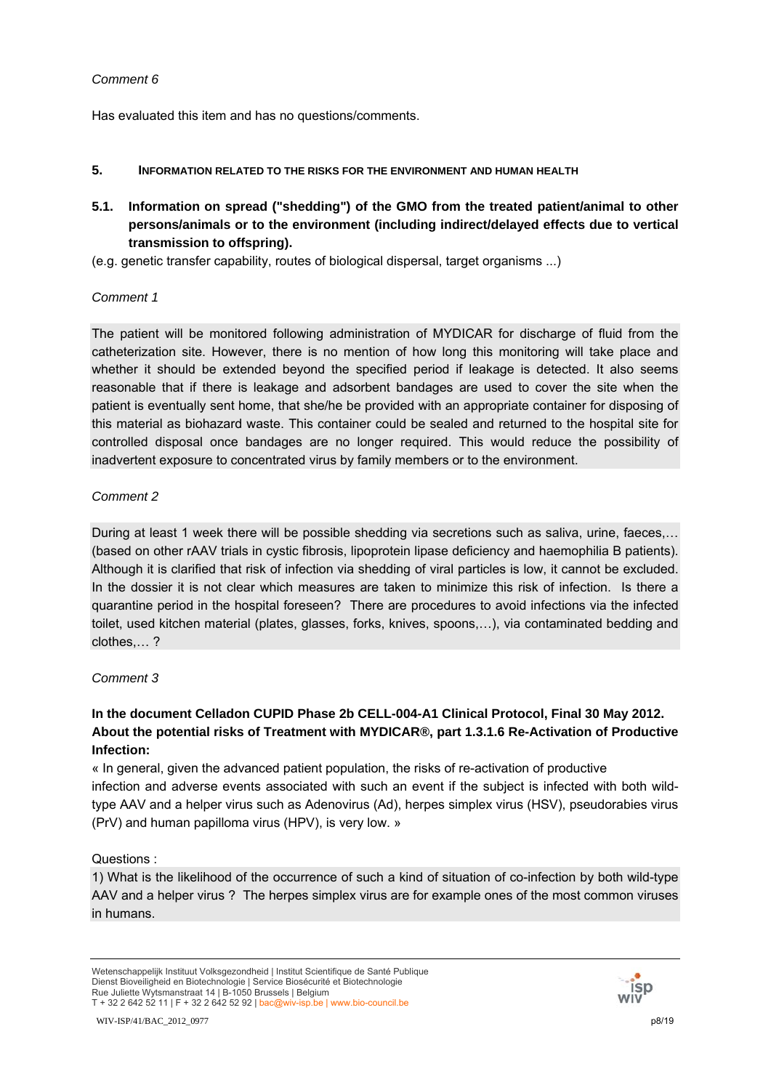Has evaluated this item and has no questions/comments.

- **5. INFORMATION RELATED TO THE RISKS FOR THE ENVIRONMENT AND HUMAN HEALTH**
- **5.1. Information on spread ("shedding") of the GMO from the treated patient/animal to other persons/animals or to the environment (including indirect/delayed effects due to vertical transmission to offspring).**
- (e.g. genetic transfer capability, routes of biological dispersal, target organisms ...)

## *Comment 1*

The patient will be monitored following administration of MYDICAR for discharge of fluid from the catheterization site. However, there is no mention of how long this monitoring will take place and whether it should be extended beyond the specified period if leakage is detected. It also seems reasonable that if there is leakage and adsorbent bandages are used to cover the site when the patient is eventually sent home, that she/he be provided with an appropriate container for disposing of this material as biohazard waste. This container could be sealed and returned to the hospital site for controlled disposal once bandages are no longer required. This would reduce the possibility of inadvertent exposure to concentrated virus by family members or to the environment.

# *Comment 2*

During at least 1 week there will be possible shedding via secretions such as saliva, urine, faeces,… (based on other rAAV trials in cystic fibrosis, lipoprotein lipase deficiency and haemophilia B patients). Although it is clarified that risk of infection via shedding of viral particles is low, it cannot be excluded. In the dossier it is not clear which measures are taken to minimize this risk of infection. Is there a quarantine period in the hospital foreseen? There are procedures to avoid infections via the infected toilet, used kitchen material (plates, glasses, forks, knives, spoons,…), via contaminated bedding and clothes,… ?

# *Comment 3*

# **In the document Celladon CUPID Phase 2b CELL-004-A1 Clinical Protocol, Final 30 May 2012. About the potential risks of Treatment with MYDICAR®, part 1.3.1.6 Re-Activation of Productive Infection:**

« In general, given the advanced patient population, the risks of re-activation of productive infection and adverse events associated with such an event if the subject is infected with both wildtype AAV and a helper virus such as Adenovirus (Ad), herpes simplex virus (HSV), pseudorabies virus (PrV) and human papilloma virus (HPV), is very low. »

Questions :

1) What is the likelihood of the occurrence of such a kind of situation of co-infection by both wild-type AAV and a helper virus ? The herpes simplex virus are for example ones of the most common viruses in humans.

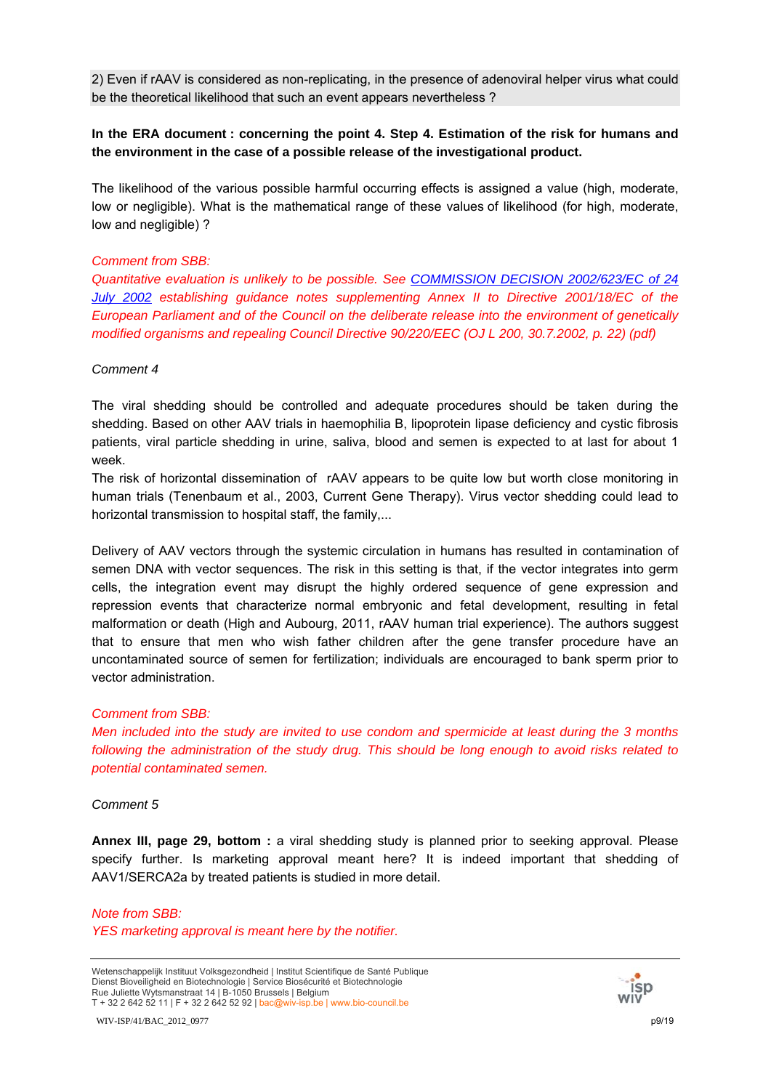2) Even if rAAV is considered as non-replicating, in the presence of adenoviral helper virus what could be the theoretical likelihood that such an event appears nevertheless ?

## **In the ERA document : concerning the point 4. Step 4. Estimation of the risk for humans and the environment in the case of a possible release of the investigational product.**

The likelihood of the various possible harmful occurring effects is assigned a value (high, moderate, low or negligible). What is the mathematical range of these values of likelihood (for high, moderate, low and negligible) ?

#### *Comment from SBB:*

*Quantitative evaluation is unlikely to be possible. See [COMMISSION DECISION 2002/623/EC of 24](http://www.bio-council.be/docs/Dec_2002_623_EN.pdf)  [July 2002](http://www.bio-council.be/docs/Dec_2002_623_EN.pdf) establishing guidance notes supplementing Annex II to Directive 2001/18/EC of the European Parliament and of the Council on the deliberate release into the environment of genetically modified organisms and repealing Council Directive 90/220/EEC (OJ L 200, 30.7.2002, p. 22) (pdf)* 

#### *Comment 4*

The viral shedding should be controlled and adequate procedures should be taken during the shedding. Based on other AAV trials in haemophilia B, lipoprotein lipase deficiency and cystic fibrosis patients, viral particle shedding in urine, saliva, blood and semen is expected to at last for about 1 week.

The risk of horizontal dissemination of rAAV appears to be quite low but worth close monitoring in human trials (Tenenbaum et al., 2003, Current Gene Therapy). Virus vector shedding could lead to horizontal transmission to hospital staff, the family,...

Delivery of AAV vectors through the systemic circulation in humans has resulted in contamination of semen DNA with vector sequences. The risk in this setting is that, if the vector integrates into germ cells, the integration event may disrupt the highly ordered sequence of gene expression and repression events that characterize normal embryonic and fetal development, resulting in fetal malformation or death (High and Aubourg, 2011, rAAV human trial experience). The authors suggest that to ensure that men who wish father children after the gene transfer procedure have an uncontaminated source of semen for fertilization; individuals are encouraged to bank sperm prior to vector administration.

## *Comment from SBB:*

*Men included into the study are invited to use condom and spermicide at least during the 3 months following the administration of the study drug. This should be long enough to avoid risks related to potential contaminated semen.* 

## *Comment 5*

**Annex III, page 29, bottom :** a viral shedding study is planned prior to seeking approval. Please specify further. Is marketing approval meant here? It is indeed important that shedding of AAV1/SERCA2a by treated patients is studied in more detail.

*Note from SBB: YES marketing approval is meant here by the notifier.* 

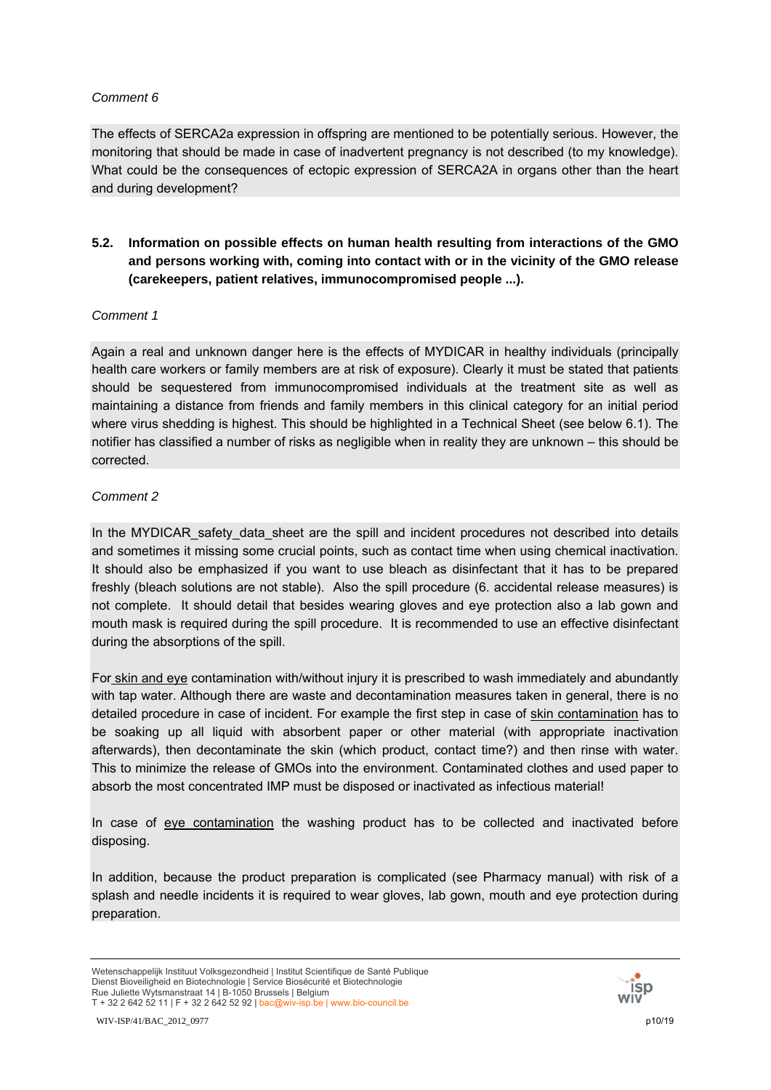The effects of SERCA2a expression in offspring are mentioned to be potentially serious. However, the monitoring that should be made in case of inadvertent pregnancy is not described (to my knowledge). What could be the consequences of ectopic expression of SERCA2A in organs other than the heart and during development?

# **5.2. Information on possible effects on human health resulting from interactions of the GMO and persons working with, coming into contact with or in the vicinity of the GMO release (carekeepers, patient relatives, immunocompromised people ...).**

## *Comment 1*

Again a real and unknown danger here is the effects of MYDICAR in healthy individuals (principally health care workers or family members are at risk of exposure). Clearly it must be stated that patients should be sequestered from immunocompromised individuals at the treatment site as well as maintaining a distance from friends and family members in this clinical category for an initial period where virus shedding is highest. This should be highlighted in a Technical Sheet (see below 6.1). The notifier has classified a number of risks as negligible when in reality they are unknown – this should be corrected.

## *Comment 2*

In the MYDICAR safety data sheet are the spill and incident procedures not described into details and sometimes it missing some crucial points, such as contact time when using chemical inactivation. It should also be emphasized if you want to use bleach as disinfectant that it has to be prepared freshly (bleach solutions are not stable). Also the spill procedure (6. accidental release measures) is not complete. It should detail that besides wearing gloves and eye protection also a lab gown and mouth mask is required during the spill procedure. It is recommended to use an effective disinfectant during the absorptions of the spill.

For skin and eye contamination with/without injury it is prescribed to wash immediately and abundantly with tap water. Although there are waste and decontamination measures taken in general, there is no detailed procedure in case of incident. For example the first step in case of skin contamination has to be soaking up all liquid with absorbent paper or other material (with appropriate inactivation afterwards), then decontaminate the skin (which product, contact time?) and then rinse with water. This to minimize the release of GMOs into the environment. Contaminated clothes and used paper to absorb the most concentrated IMP must be disposed or inactivated as infectious material!

In case of eye contamination the washing product has to be collected and inactivated before disposing.

In addition, because the product preparation is complicated (see Pharmacy manual) with risk of a splash and needle incidents it is required to wear gloves, lab gown, mouth and eye protection during preparation.

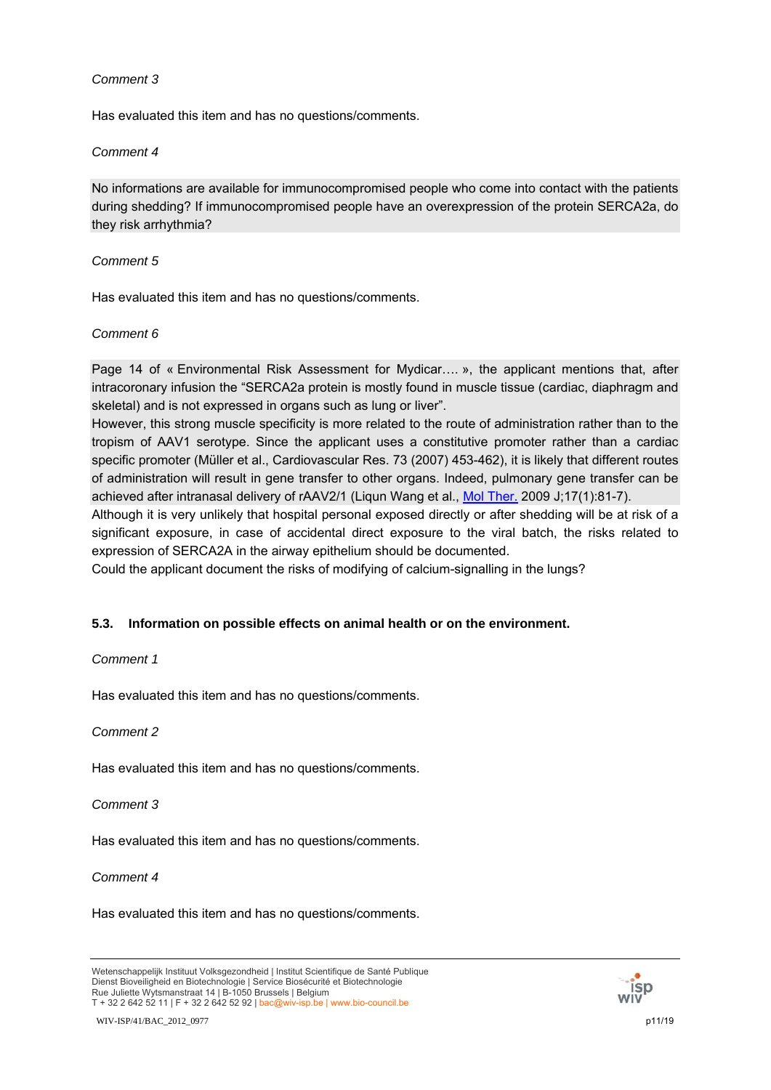Has evaluated this item and has no questions/comments.

## *Comment 4*

No informations are available for immunocompromised people who come into contact with the patients during shedding? If immunocompromised people have an overexpression of the protein SERCA2a, do they risk arrhythmia?

## *Comment 5*

Has evaluated this item and has no questions/comments.

## *Comment 6*

Page 14 of « Environmental Risk Assessment for Mydicar…. », the applicant mentions that, after intracoronary infusion the "SERCA2a protein is mostly found in muscle tissue (cardiac, diaphragm and skeletal) and is not expressed in organs such as lung or liver".

However, this strong muscle specificity is more related to the route of administration rather than to the tropism of AAV1 serotype. Since the applicant uses a constitutive promoter rather than a cardiac specific promoter (Müller et al., Cardiovascular Res. 73 (2007) 453-462), it is likely that different routes of administration will result in gene transfer to other organs. Indeed, pulmonary gene transfer can be achieved after intranasal delivery of rAAV2/1 (Liqun Wang et al., [Mol Ther.](http://www.ncbi.nlm.nih.gov/pubmed/18941444) 2009 J;17(1):81-7).

Although it is very unlikely that hospital personal exposed directly or after shedding will be at risk of a significant exposure, in case of accidental direct exposure to the viral batch, the risks related to expression of SERCA2A in the airway epithelium should be documented.

Could the applicant document the risks of modifying of calcium-signalling in the lungs?

# **5.3. Information on possible effects on animal health or on the environment.**

## *Comment 1*

Has evaluated this item and has no questions/comments.

*Comment 2*

Has evaluated this item and has no questions/comments.

*Comment 3*

Has evaluated this item and has no questions/comments.

## *Comment 4*

Has evaluated this item and has no questions/comments.



Wetenschappelijk Instituut Volksgezondheid | Institut Scientifique de Santé Publique Dienst Bioveiligheid en Biotechnologie | Service Biosécurité et Biotechnologie Rue Juliette Wytsmanstraat 14 | B-1050 Brussels | Belgium T + 32 2 642 52 11 | F + 32 2 642 52 92 | bac@wiv-isp.be | www.bio-council.be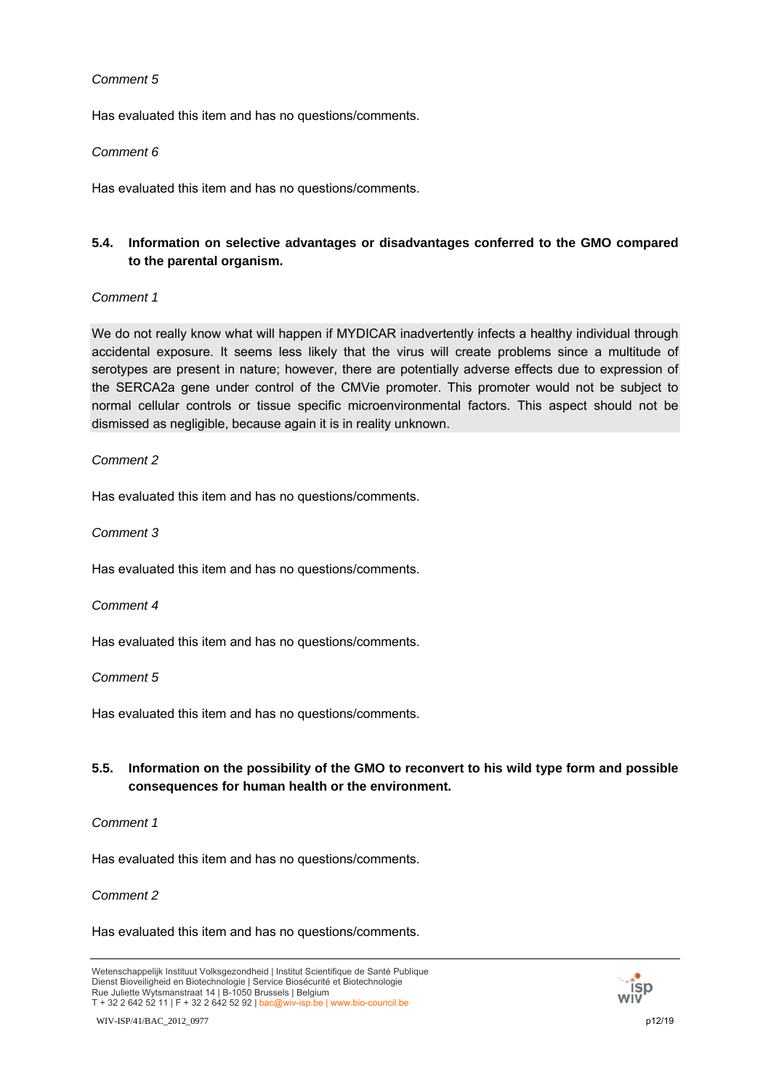Has evaluated this item and has no questions/comments.

## *Comment 6*

Has evaluated this item and has no questions/comments.

# **5.4. Information on selective advantages or disadvantages conferred to the GMO compared to the parental organism.**

## *Comment 1*

We do not really know what will happen if MYDICAR inadvertently infects a healthy individual through accidental exposure. It seems less likely that the virus will create problems since a multitude of serotypes are present in nature; however, there are potentially adverse effects due to expression of the SERCA2a gene under control of the CMVie promoter. This promoter would not be subject to normal cellular controls or tissue specific microenvironmental factors. This aspect should not be dismissed as negligible, because again it is in reality unknown.

## *Comment 2*

Has evaluated this item and has no questions/comments.

*Comment 3*

Has evaluated this item and has no questions/comments.

*Comment 4*

Has evaluated this item and has no questions/comments.

## *Comment 5*

Has evaluated this item and has no questions/comments.

# **5.5. Information on the possibility of the GMO to reconvert to his wild type form and possible consequences for human health or the environment.**

## *Comment 1*

Has evaluated this item and has no questions/comments.

## *Comment 2*

Has evaluated this item and has no questions/comments.

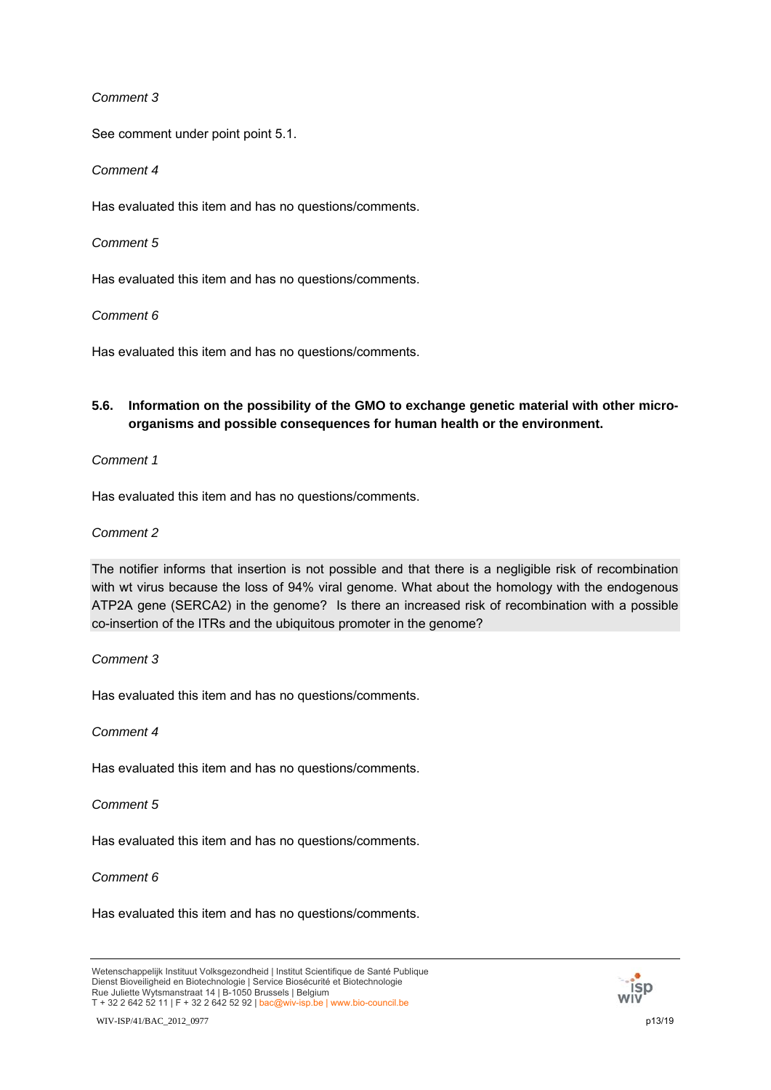See comment under point point 5.1.

## *Comment 4*

Has evaluated this item and has no questions/comments.

## *Comment 5*

Has evaluated this item and has no questions/comments.

## *Comment 6*

Has evaluated this item and has no questions/comments.

# **5.6. Information on the possibility of the GMO to exchange genetic material with other microorganisms and possible consequences for human health or the environment.**

## *Comment 1*

Has evaluated this item and has no questions/comments.

## *Comment 2*

The notifier informs that insertion is not possible and that there is a negligible risk of recombination with wt virus because the loss of 94% viral genome. What about the homology with the endogenous ATP2A gene (SERCA2) in the genome? Is there an increased risk of recombination with a possible co-insertion of the ITRs and the ubiquitous promoter in the genome?

## *Comment 3*

Has evaluated this item and has no questions/comments.

## *Comment 4*

Has evaluated this item and has no questions/comments.

## *Comment 5*

Has evaluated this item and has no questions/comments.

## *Comment 6*

Has evaluated this item and has no questions/comments.



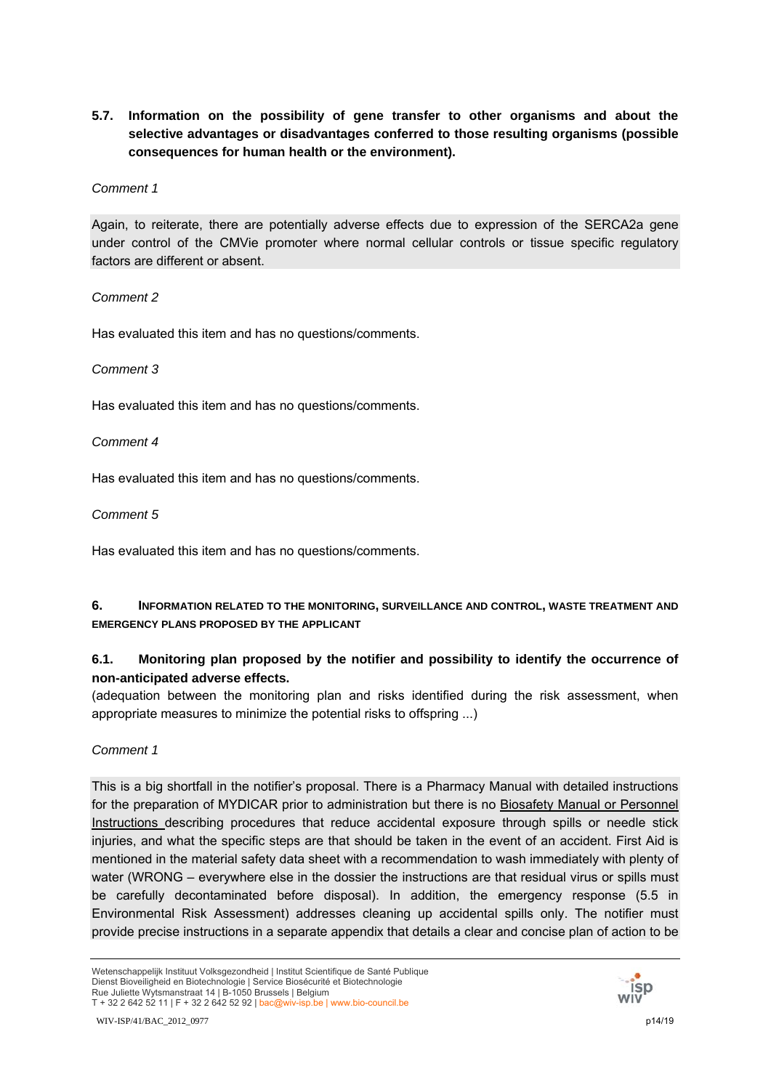# **5.7. Information on the possibility of gene transfer to other organisms and about the selective advantages or disadvantages conferred to those resulting organisms (possible consequences for human health or the environment).**

## *Comment 1*

Again, to reiterate, there are potentially adverse effects due to expression of the SERCA2a gene under control of the CMVie promoter where normal cellular controls or tissue specific regulatory factors are different or absent.

## *Comment 2*

Has evaluated this item and has no questions/comments.

## *Comment 3*

Has evaluated this item and has no questions/comments.

*Comment 4*

Has evaluated this item and has no questions/comments.

## *Comment 5*

Has evaluated this item and has no questions/comments.

# **6. INFORMATION RELATED TO THE MONITORING, SURVEILLANCE AND CONTROL, WASTE TREATMENT AND EMERGENCY PLANS PROPOSED BY THE APPLICANT**

# **6.1. Monitoring plan proposed by the notifier and possibility to identify the occurrence of non-anticipated adverse effects.**

(adequation between the monitoring plan and risks identified during the risk assessment, when appropriate measures to minimize the potential risks to offspring ...)

# *Comment 1*

This is a big shortfall in the notifier's proposal. There is a Pharmacy Manual with detailed instructions for the preparation of MYDICAR prior to administration but there is no Biosafety Manual or Personnel Instructions describing procedures that reduce accidental exposure through spills or needle stick injuries, and what the specific steps are that should be taken in the event of an accident. First Aid is mentioned in the material safety data sheet with a recommendation to wash immediately with plenty of water (WRONG – everywhere else in the dossier the instructions are that residual virus or spills must be carefully decontaminated before disposal). In addition, the emergency response (5.5 in Environmental Risk Assessment) addresses cleaning up accidental spills only. The notifier must provide precise instructions in a separate appendix that details a clear and concise plan of action to be

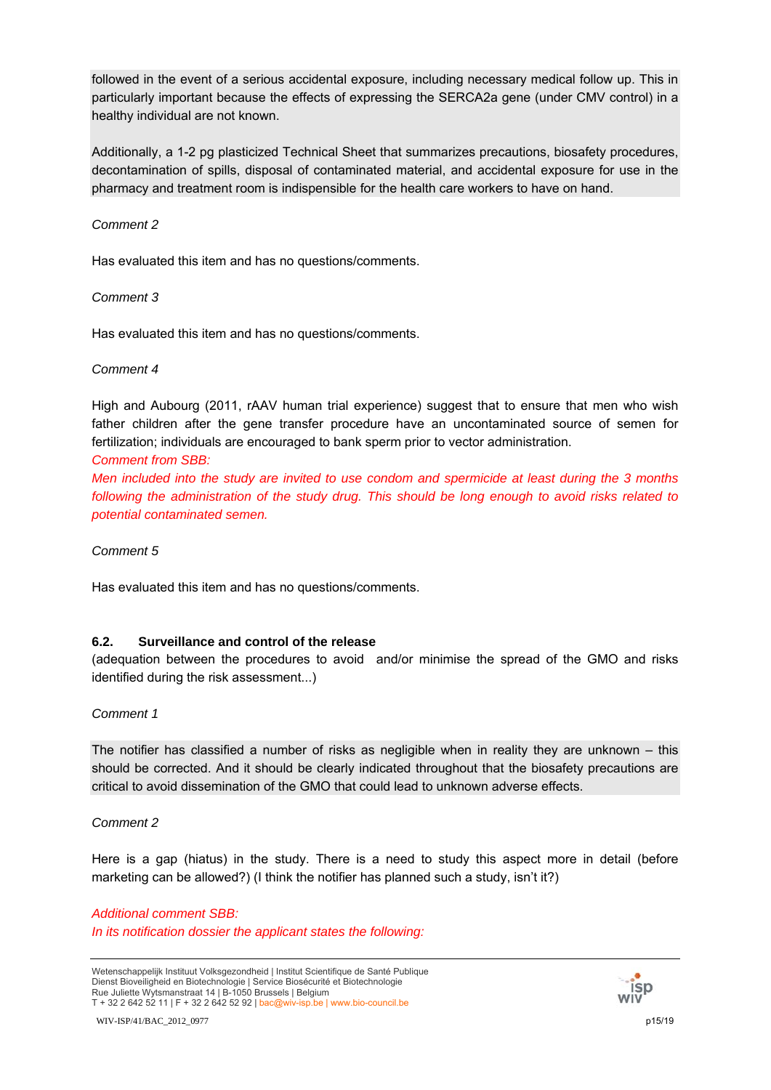followed in the event of a serious accidental exposure, including necessary medical follow up. This in particularly important because the effects of expressing the SERCA2a gene (under CMV control) in a healthy individual are not known.

Additionally, a 1-2 pg plasticized Technical Sheet that summarizes precautions, biosafety procedures, decontamination of spills, disposal of contaminated material, and accidental exposure for use in the pharmacy and treatment room is indispensible for the health care workers to have on hand.

## *Comment 2*

Has evaluated this item and has no questions/comments.

## *Comment 3*

Has evaluated this item and has no questions/comments.

## *Comment 4*

High and Aubourg (2011, rAAV human trial experience) suggest that to ensure that men who wish father children after the gene transfer procedure have an uncontaminated source of semen for fertilization; individuals are encouraged to bank sperm prior to vector administration.

## *Comment from SBB:*

*Men included into the study are invited to use condom and spermicide at least during the 3 months following the administration of the study drug. This should be long enough to avoid risks related to potential contaminated semen.* 

*Comment 5*

Has evaluated this item and has no questions/comments.

# **6.2. Surveillance and control of the release**

(adequation between the procedures to avoid and/or minimise the spread of the GMO and risks identified during the risk assessment...)

## *Comment 1*

The notifier has classified a number of risks as negligible when in reality they are unknown – this should be corrected. And it should be clearly indicated throughout that the biosafety precautions are critical to avoid dissemination of the GMO that could lead to unknown adverse effects.

## *Comment 2*

Here is a gap (hiatus) in the study. There is a need to study this aspect more in detail (before marketing can be allowed?) (I think the notifier has planned such a study, isn't it?)

## *Additional comment SBB: In its notification dossier the applicant states the following:*

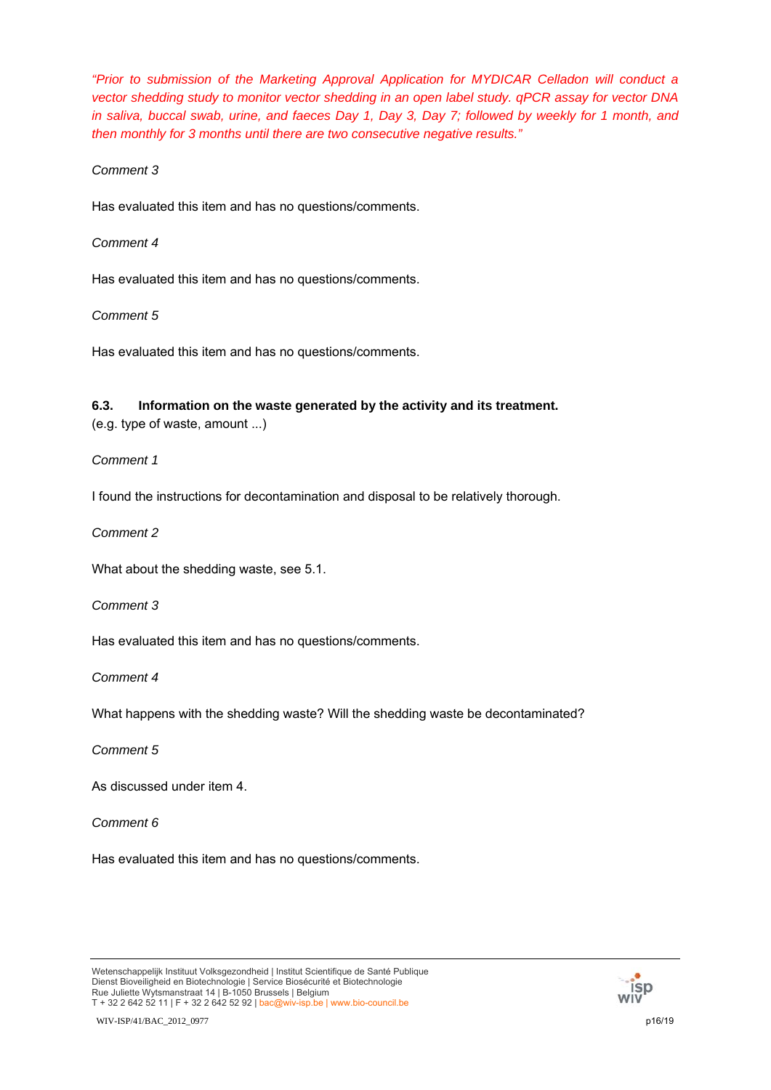*"Prior to submission of the Marketing Approval Application for MYDICAR Celladon will conduct a vector shedding study to monitor vector shedding in an open label study. qPCR assay for vector DNA in saliva, buccal swab, urine, and faeces Day 1, Day 3, Day 7; followed by weekly for 1 month, and then monthly for 3 months until there are two consecutive negative results."* 

## *Comment 3*

Has evaluated this item and has no questions/comments.

## *Comment 4*

Has evaluated this item and has no questions/comments.

## *Comment 5*

Has evaluated this item and has no questions/comments.

# **6.3. Information on the waste generated by the activity and its treatment.**

(e.g. type of waste, amount ...)

## *Comment 1*

I found the instructions for decontamination and disposal to be relatively thorough.

*Comment 2*

What about the shedding waste, see 5.1.

## *Comment 3*

Has evaluated this item and has no questions/comments.

*Comment 4*

What happens with the shedding waste? Will the shedding waste be decontaminated?

# *Comment 5*

As discussed under item 4.

## *Comment 6*

Has evaluated this item and has no questions/comments.



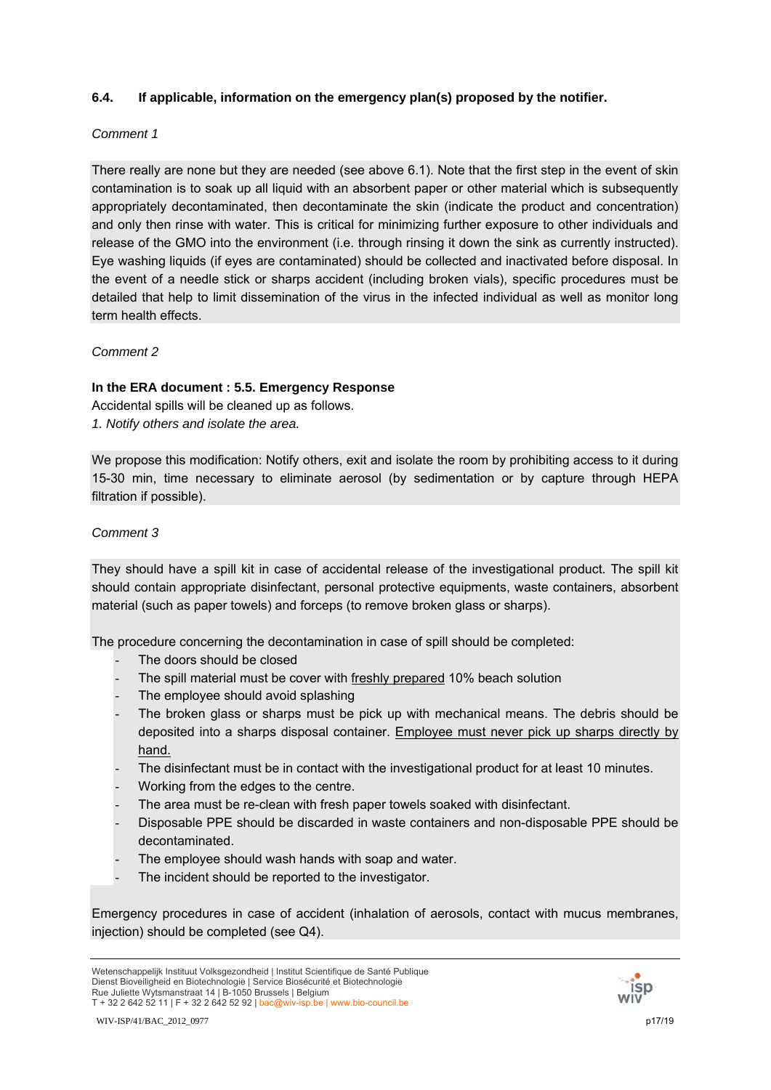# **6.4. If applicable, information on the emergency plan(s) proposed by the notifier.**

## *Comment 1*

There really are none but they are needed (see above 6.1). Note that the first step in the event of skin contamination is to soak up all liquid with an absorbent paper or other material which is subsequently appropriately decontaminated, then decontaminate the skin (indicate the product and concentration) and only then rinse with water. This is critical for minimizing further exposure to other individuals and release of the GMO into the environment (i.e. through rinsing it down the sink as currently instructed). Eye washing liquids (if eyes are contaminated) should be collected and inactivated before disposal. In the event of a needle stick or sharps accident (including broken vials), specific procedures must be detailed that help to limit dissemination of the virus in the infected individual as well as monitor long term health effects.

*Comment 2*

## **In the ERA document : 5.5. Emergency Response**

Accidental spills will be cleaned up as follows.

*1. Notify others and isolate the area.* 

We propose this modification: Notify others, exit and isolate the room by prohibiting access to it during 15-30 min, time necessary to eliminate aerosol (by sedimentation or by capture through HEPA filtration if possible).

## *Comment 3*

They should have a spill kit in case of accidental release of the investigational product. The spill kit should contain appropriate disinfectant, personal protective equipments, waste containers, absorbent material (such as paper towels) and forceps (to remove broken glass or sharps).

The procedure concerning the decontamination in case of spill should be completed:

- The doors should be closed
- The spill material must be cover with freshly prepared 10% beach solution
- The employee should avoid splashing
- The broken glass or sharps must be pick up with mechanical means. The debris should be deposited into a sharps disposal container. Employee must never pick up sharps directly by hand.
- The disinfectant must be in contact with the investigational product for at least 10 minutes.
- Working from the edges to the centre.
- The area must be re-clean with fresh paper towels soaked with disinfectant.
- Disposable PPE should be discarded in waste containers and non-disposable PPE should be decontaminated.
- The employee should wash hands with soap and water.
- The incident should be reported to the investigator.

Emergency procedures in case of accident (inhalation of aerosols, contact with mucus membranes, injection) should be completed (see Q4).

Wetenschappelijk Instituut Volksgezondheid | Institut Scientifique de Santé Publique Dienst Bioveiligheid en Biotechnologie | Service Biosécurité et Biotechnologie Rue Juliette Wytsmanstraat 14 | B-1050 Brussels | Belgium T + 32 2 642 52 11 | F + 32 2 642 52 92 | bac@wiv-isp.be | www.bio-council.be



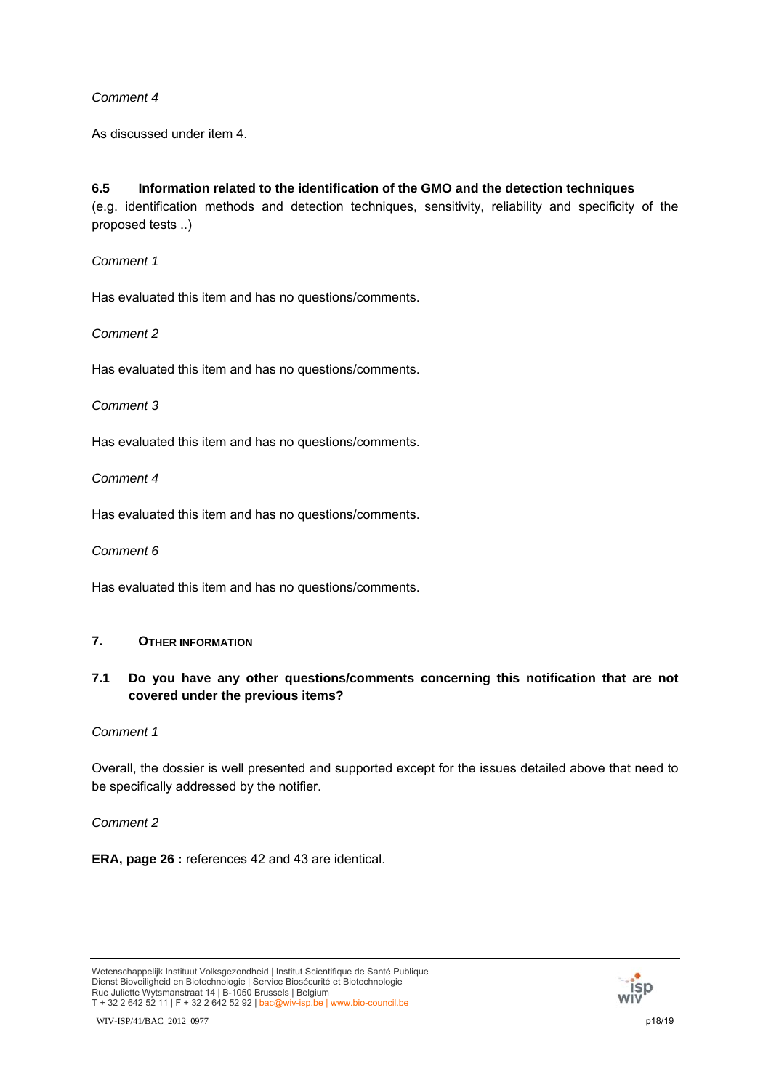As discussed under item 4.

# **6.5 Information related to the identification of the GMO and the detection techniques**

(e.g. identification methods and detection techniques, sensitivity, reliability and specificity of the proposed tests ..)

*Comment 1*

Has evaluated this item and has no questions/comments.

*Comment 2*

Has evaluated this item and has no questions/comments.

## *Comment 3*

Has evaluated this item and has no questions/comments.

*Comment 4*

Has evaluated this item and has no questions/comments.

*Comment 6* 

Has evaluated this item and has no questions/comments.

# **7. OTHER INFORMATION**

# **7.1 Do you have any other questions/comments concerning this notification that are not covered under the previous items?**

## *Comment 1*

Overall, the dossier is well presented and supported except for the issues detailed above that need to be specifically addressed by the notifier.

*Comment 2*

**ERA, page 26 :** references 42 and 43 are identical.